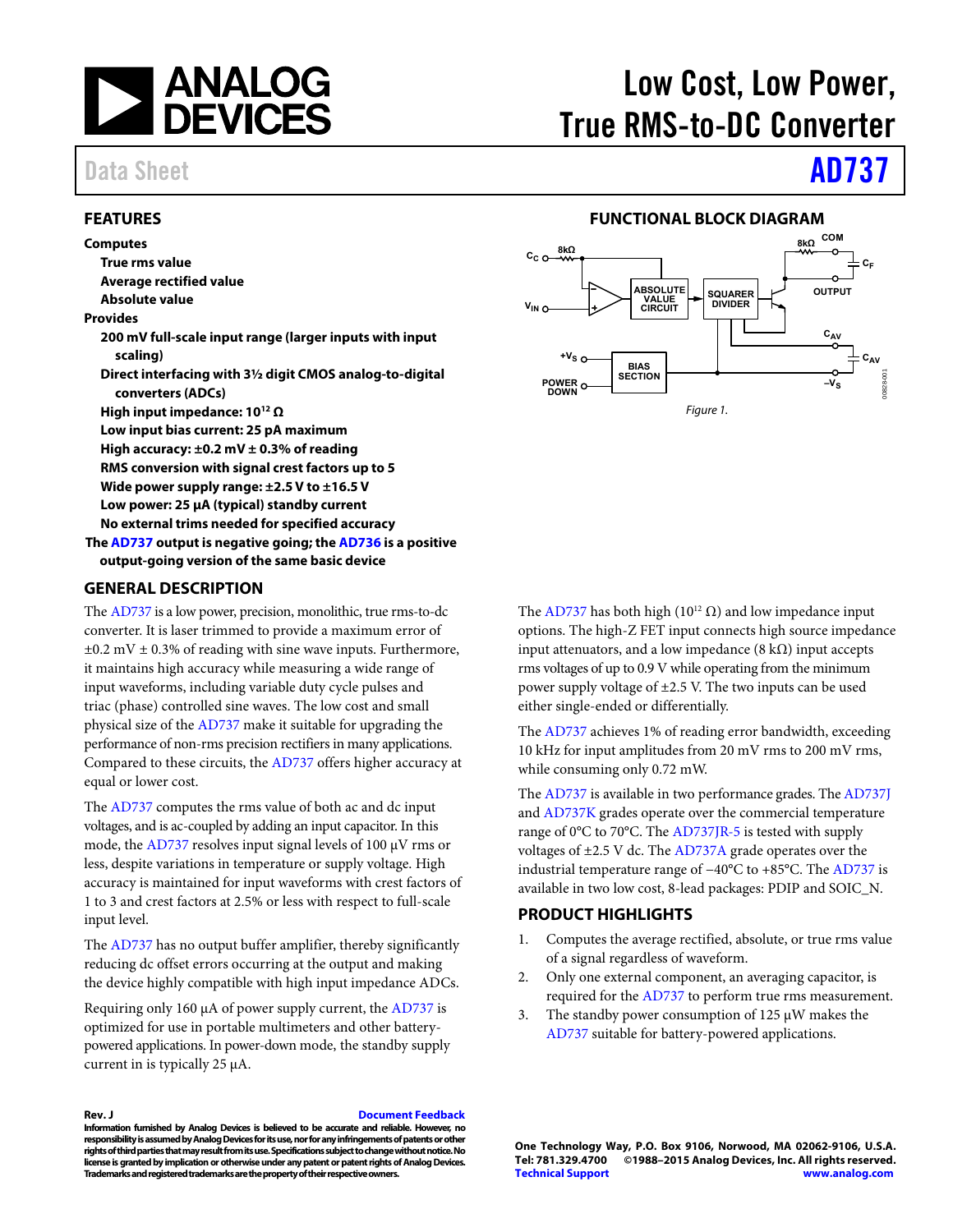

## <span id="page-0-0"></span>**FEATURES**

**Computes True rms value Average rectified value Absolute value Provides 200 mV full-scale input range (larger inputs with input scaling) Direct interfacing with 3½ digit CMOS analog-to-digital converters (ADCs) High input impedance: 1012 Ω Low input bias current: 25 pA maximum High accuracy: ±0.2 mV ± 0.3% of reading RMS conversion with signal crest factors up to 5 Wide power supply range: ±2.5 V to ±16.5 V Low power: 25 μA (typical) standby current No external trims needed for specified accuracy Th[e AD737 o](http://www.analog.com/AD737?doc=AD737.pdf)utput is negative going; th[e AD736 i](http://www.analog.com/AD736?doc=ad737.pdf)s a positive output-going version of the same basic device** 

### <span id="page-0-2"></span>**GENERAL DESCRIPTION**

The [AD737 i](http://www.analog.com/AD737?doc=AD737.pdf)s a low power, precision, monolithic, true rms-to-dc converter. It is laser trimmed to provide a maximum error of  $\pm 0.2$  mV  $\pm$  0.3% of reading with sine wave inputs. Furthermore, it maintains high accuracy while measuring a wide range of input waveforms, including variable duty cycle pulses and triac (phase) controlled sine waves. The low cost and small physical size of the [AD737 m](http://www.analog.com/AD737?doc=AD737.pdf)ake it suitable for upgrading the performance of non-rms precision rectifiers in many applications. Compared to these circuits, th[e AD737 o](http://www.analog.com/AD737?doc=AD737.pdf)ffers higher accuracy at equal or lower cost.

The [AD737 c](http://www.analog.com/AD737?doc=AD737.pdf)omputes the rms value of both ac and dc input voltages, and is ac-coupled by adding an input capacitor. In this mode, the [AD737 r](http://www.analog.com/AD737?doc=AD737.pdf)esolves input signal levels of 100 μV rms or less, despite variations in temperature or supply voltage. High accuracy is maintained for input waveforms with crest factors of 1 to 3 and crest factors at 2.5% or less with respect to full-scale input level.

The [AD737 h](http://www.analog.com/AD737?doc=AD737.pdf)as no output buffer amplifier, thereby significantly reducing dc offset errors occurring at the output and making the device highly compatible with high input impedance ADCs.

Requiring only 160 μA of power supply current, th[e AD737 i](http://www.analog.com/AD737?doc=AD737.pdf)s optimized for use in portable multimeters and other batterypowered applications. In power-down mode, the standby supply current in is typically 25 μA.

**Rev. J [Document Feedback](https://form.analog.com/Form_Pages/feedback/documentfeedback.aspx?doc=AD737.pdf&product=AD737&rev=J)** 

**Information furnished by Analog Devices is believed to be accurate and reliable. However, no responsibility is assumed by Analog Devices for its use, nor for any infringements of patents or other rights of third parties that may result from its use. Specifications subject to change without notice. No license is granted by implication or otherwise under any patent or patent rights of Analog Devices. Trademarks and registered trademarks are the property of their respective owners.** 

# Low Cost, Low Power, True RMS-to-DC Converter

# Data Sheet **[AD737](http://www.analog.com/AD737?doc=AD737.pdf)**

## **FUNCTIONAL BLOCK DIAGRAM**

<span id="page-0-1"></span>

The [AD737 h](http://www.analog.com/AD737?doc=AD737.pdf)as both high ( $10^{12}$  Ω) and low impedance input options. The high-Z FET input connects high source impedance input attenuators, and a low impedance (8 kΩ) input accepts rms voltages of up to 0.9 V while operating from the minimum power supply voltage of ±2.5 V. The two inputs can be used either single-ended or differentially.

The [AD737 a](http://www.analog.com/AD737?doc=AD737.pdf)chieves 1% of reading error bandwidth, exceeding 10 kHz for input amplitudes from 20 mV rms to 200 mV rms, while consuming only 0.72 mW.

The [AD737 i](http://www.analog.com/AD737?doc=AD737.pdf)s available in two performance grades. Th[e AD737J](http://www.analog.com/AD737?doc=AD737.pdf) an[d AD737K](http://www.analog.com/AD737?doc=AD737.pdf) grades operate over the commercial temperature range of 0°C to 70°C. The [AD737JR-5](http://www.analog.com/AD737?doc=AD737.pdf) is tested with supply voltages of  $\pm 2.5$  V dc. Th[e AD737A](http://www.analog.com/AD737?doc=AD737.pdf) grade operates over the industrial temperature range of −40°C to +85°C. The [AD737 i](http://www.analog.com/AD737?doc=AD737.pdf)s available in two low cost, 8-lead packages: PDIP and SOIC\_N.

## <span id="page-0-3"></span>**PRODUCT HIGHLIGHTS**

- 1. Computes the average rectified, absolute, or true rms value of a signal regardless of waveform.
- 2. Only one external component, an averaging capacitor, is required for the [AD737](http://www.analog.com/AD737?doc=AD737.pdf) to perform true rms measurement.
- 3. The standby power consumption of 125 μW makes the [AD737](http://www.analog.com/AD737?doc=AD737.pdf) suitable for battery-powered applications.

**One Technology Way, P.O. Box 9106, Norwood, MA 02062-9106, U.S.A.** ©1988-2015 Analog Devices, Inc. All rights reserved. **[Technical Support](http://www.analog.com/en/content/technical_support_page/fca.html) [www.analog.com](http://www.analog.com/)**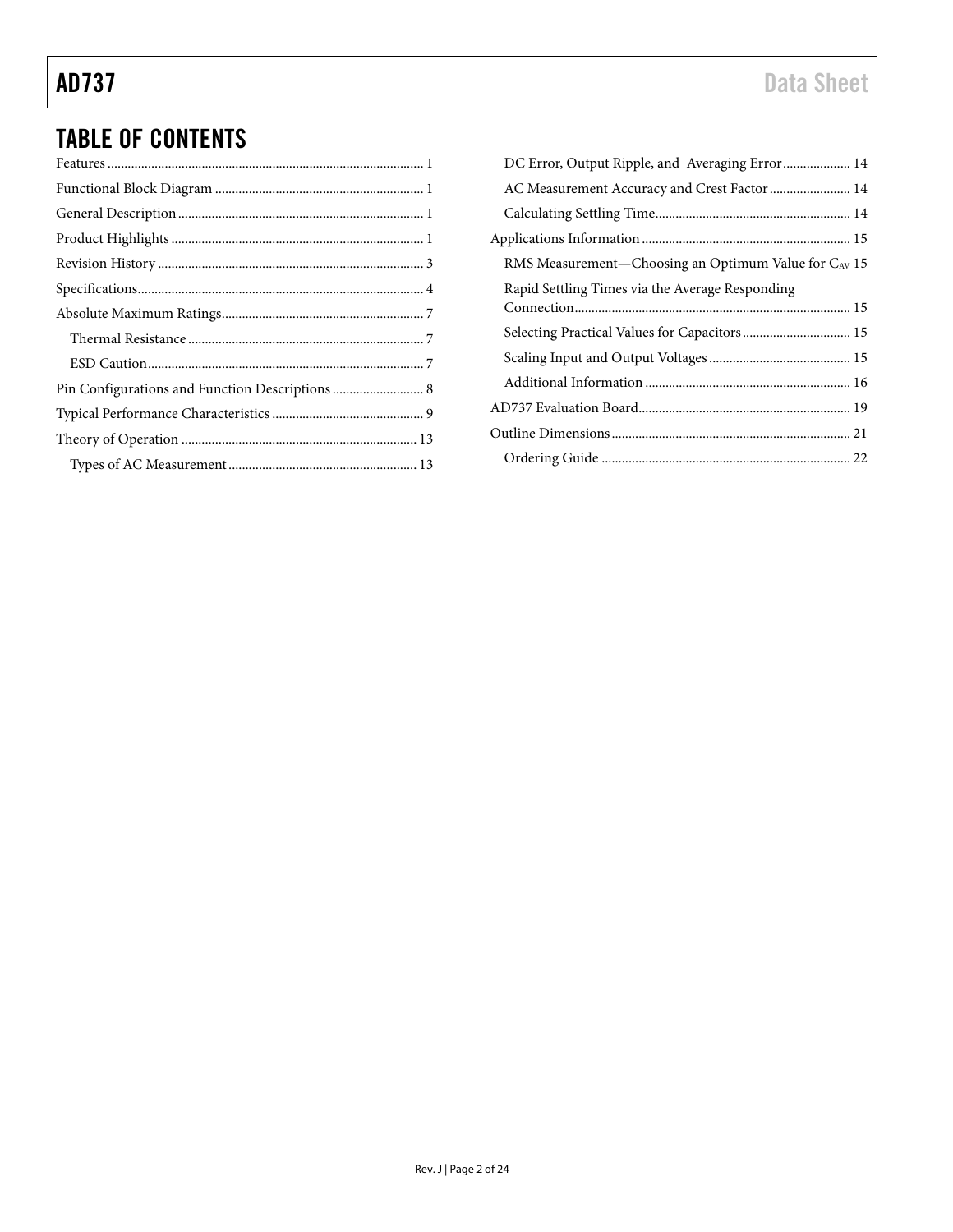# TABLE OF CONTENTS

| DC Error, Output Ripple, and Averaging Error 14      |  |
|------------------------------------------------------|--|
| AC Measurement Accuracy and Crest Factor  14         |  |
|                                                      |  |
|                                                      |  |
| RMS Measurement-Choosing an Optimum Value for CAV 15 |  |
| Rapid Settling Times via the Average Responding      |  |
| Selecting Practical Values for Capacitors 15         |  |
|                                                      |  |
|                                                      |  |
|                                                      |  |
|                                                      |  |
|                                                      |  |
|                                                      |  |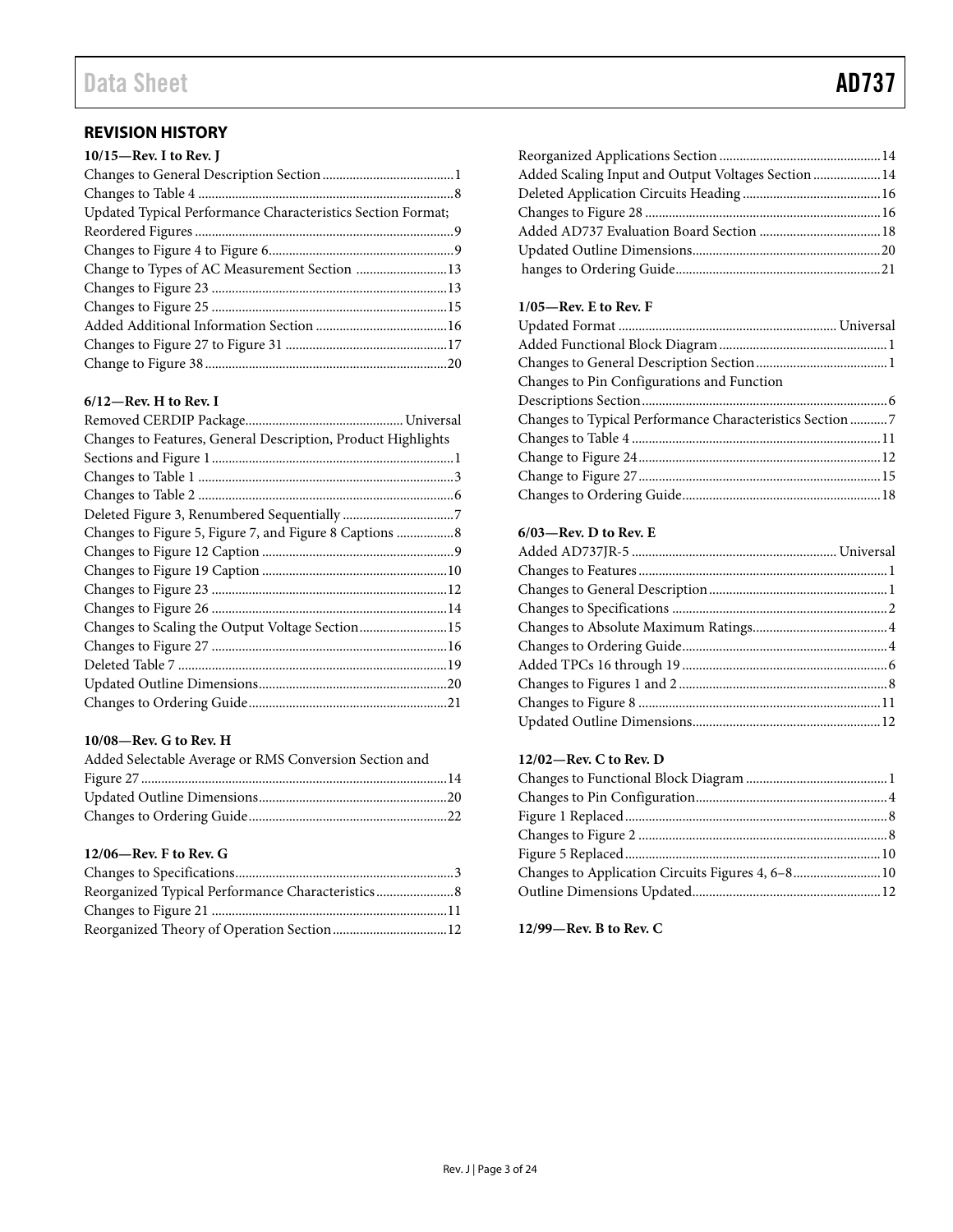# Data Sheet **AD737**

# <span id="page-2-0"></span>**REVISION HISTORY**

| 10/15-Rev. I to Rev. J                                      |  |
|-------------------------------------------------------------|--|
|                                                             |  |
|                                                             |  |
| Updated Typical Performance Characteristics Section Format; |  |
|                                                             |  |
|                                                             |  |
| Change to Types of AC Measurement Section 13                |  |
|                                                             |  |
|                                                             |  |
|                                                             |  |
|                                                             |  |
|                                                             |  |

## **6/12—Rev. H to Rev. I**

| Changes to Features, General Description, Product Highlights |  |
|--------------------------------------------------------------|--|
|                                                              |  |
|                                                              |  |
|                                                              |  |
|                                                              |  |
| Changes to Figure 5, Figure 7, and Figure 8 Captions  8      |  |
|                                                              |  |
|                                                              |  |
|                                                              |  |
|                                                              |  |
| Changes to Scaling the Output Voltage Section15              |  |
|                                                              |  |
|                                                              |  |
|                                                              |  |
|                                                              |  |

## **10/08—Rev. G to Rev. H**

| Added Selectable Average or RMS Conversion Section and |  |
|--------------------------------------------------------|--|
|                                                        |  |
|                                                        |  |
|                                                        |  |

## **12/06—Rev. F to Rev. G**

| Added Scaling Input and Output Voltages Section  14 |  |
|-----------------------------------------------------|--|
|                                                     |  |
|                                                     |  |
|                                                     |  |
|                                                     |  |
|                                                     |  |
|                                                     |  |

# **1/05—Rev. E to Rev. F**

| Changes to Pin Configurations and Function               |  |
|----------------------------------------------------------|--|
|                                                          |  |
| Changes to Typical Performance Characteristics Section 7 |  |
|                                                          |  |
|                                                          |  |
|                                                          |  |
|                                                          |  |
|                                                          |  |

# **6/03—Rev. D to Rev. E**

## **12/02—Rev. C to Rev. D**

| ${\bf Figure~1~Replaced.}.\hspace*{20pt} . \hspace*{20pt} . \hspace*{20pt} . \hspace*{20pt} . \hspace*{20pt} . \hspace*{20pt} . \hspace*{20pt} . \hspace*{20pt} . \hspace*{20pt} . \hspace*{20pt} . \hspace*{20pt} . \hspace*{20pt} . \hspace*{20pt} . \hspace*{20pt} . \hspace*{20pt} . \hspace*{20pt} . \hspace*{20pt} . \hspace*{20pt} . \hspace*{20pt} . \hspace*{20pt} . \hspace*{20pt}$ |  |
|-----------------------------------------------------------------------------------------------------------------------------------------------------------------------------------------------------------------------------------------------------------------------------------------------------------------------------------------------------------------------------------------------|--|
|                                                                                                                                                                                                                                                                                                                                                                                               |  |
|                                                                                                                                                                                                                                                                                                                                                                                               |  |
| Changes to Application Circuits Figures 4, 6-810                                                                                                                                                                                                                                                                                                                                              |  |
|                                                                                                                                                                                                                                                                                                                                                                                               |  |

**12/99—Rev. B to Rev. C**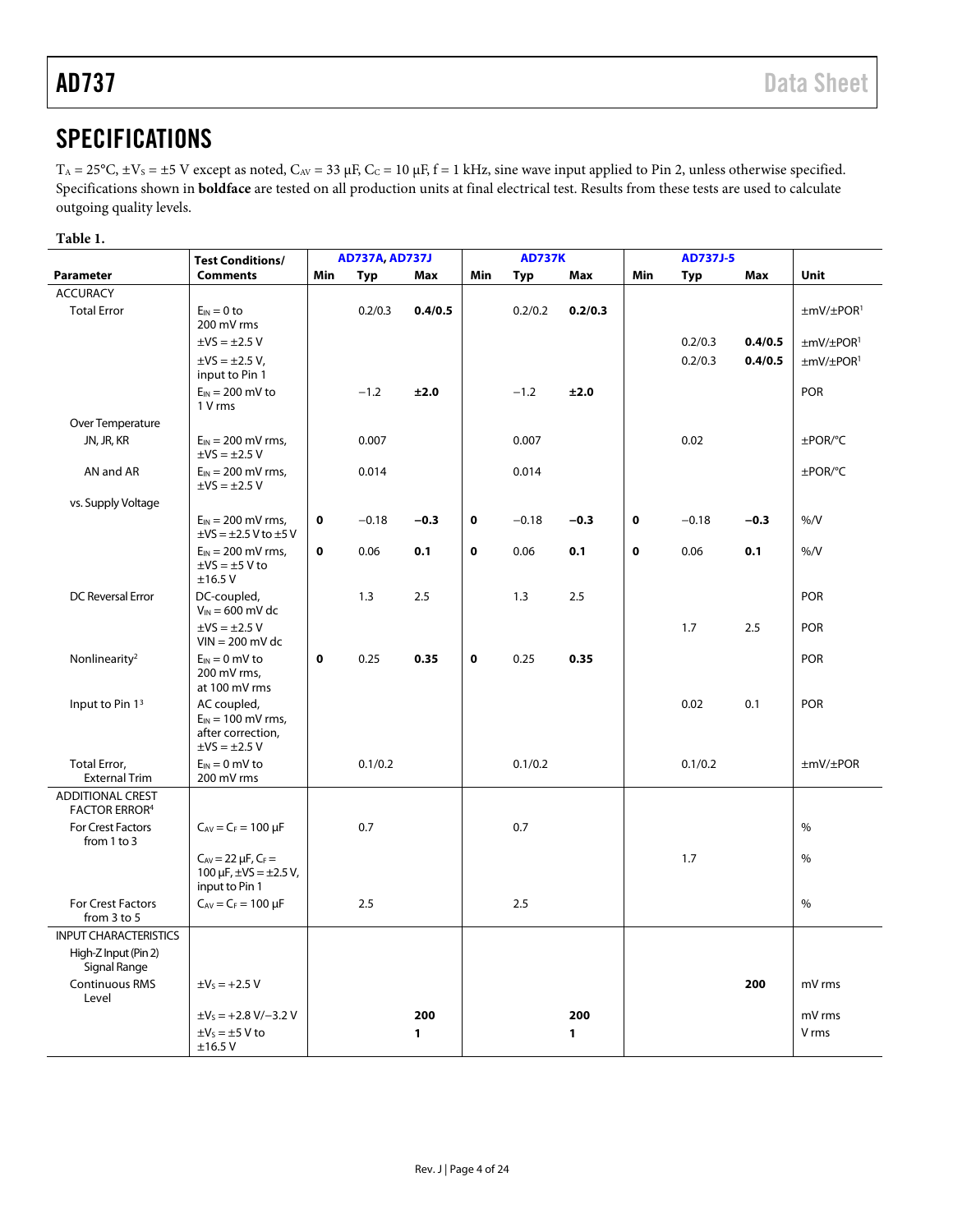# <span id="page-3-0"></span>**SPECIFICATIONS**

 $T_A = 25$ °C,  $\pm$ V<sub>S</sub> =  $\pm$ 5 V except as noted, C<sub>AV</sub> = 33 μF, C<sub>C</sub> = 10 μF, f = 1 kHz, sine wave input applied to Pin 2, unless otherwise specified. Specifications shown in **boldface** are tested on all production units at final electrical test. Results from these tests are used to calculate outgoing quality levels.

## **Table 1.**

|                                                 | <b>Test Conditions/</b>                                       |             | <b>AD737A, AD737J</b> |              | <b>AD737K</b> |         | <b>AD737J-5</b> |             |         |         |                                  |
|-------------------------------------------------|---------------------------------------------------------------|-------------|-----------------------|--------------|---------------|---------|-----------------|-------------|---------|---------|----------------------------------|
| Parameter                                       | <b>Comments</b>                                               | Min         | Typ                   | Max          | Min           | Typ     | <b>Max</b>      | Min         | Typ     | Max     | <b>Unit</b>                      |
| <b>ACCURACY</b>                                 |                                                               |             |                       |              |               |         |                 |             |         |         |                                  |
| <b>Total Error</b>                              | $E_{IN} = 0$ to                                               |             | 0.2/0.3               | 0.4/0.5      |               | 0.2/0.2 | 0.2/0.3         |             |         |         | ±mV/±POR <sup>1</sup>            |
|                                                 | 200 mV rms                                                    |             |                       |              |               |         |                 |             |         |         |                                  |
|                                                 | $\pm$ VS = $\pm$ 2.5 V                                        |             |                       |              |               |         |                 |             | 0.2/0.3 | 0.4/0.5 | $\pm$ mV/ $\pm$ POR <sup>1</sup> |
|                                                 | $\pm$ VS = $\pm$ 2.5 V,<br>input to Pin 1                     |             |                       |              |               |         |                 |             | 0.2/0.3 | 0.4/0.5 | $\pm$ mV/ $\pm$ POR <sup>1</sup> |
|                                                 | $E_{IN} = 200$ mV to<br>1 V rms                               |             | $-1.2$                | ±2.0         |               | $-1.2$  | ±2.0            |             |         |         | <b>POR</b>                       |
| Over Temperature                                |                                                               |             |                       |              |               |         |                 |             |         |         |                                  |
| JN, JR, KR                                      | $E_{IN} = 200$ mV rms,<br>$\pm$ VS = $\pm$ 2.5 V              |             | 0.007                 |              |               | 0.007   |                 |             | 0.02    |         | ±POR/°C                          |
| AN and AR                                       | $E_{IN}$ = 200 mV rms,<br>$\pm$ VS = $\pm$ 2.5 V              |             | 0.014                 |              |               | 0.014   |                 |             |         |         | ±POR/°C                          |
| vs. Supply Voltage                              |                                                               |             |                       |              |               |         |                 |             |         |         |                                  |
|                                                 | $E_{IN}$ = 200 mV rms,<br>$\pm$ VS = $\pm$ 2.5 V to $\pm$ 5 V | 0           | $-0.18$               | $-0.3$       | 0             | $-0.18$ | $-0.3$          | $\bf o$     | $-0.18$ | $-0.3$  | $\%$ /V                          |
|                                                 | $E_{IN}$ = 200 mV rms,<br>$\pm$ VS = $\pm$ 5 V to             | 0           | 0.06                  | 0.1          | 0             | 0.06    | 0.1             | $\mathbf 0$ | 0.06    | 0.1     | $\%$ /V                          |
|                                                 | ±16.5V                                                        |             |                       |              |               |         |                 |             |         |         |                                  |
| <b>DC Reversal Error</b>                        | DC-coupled,<br>$V_{IN}$ = 600 mV dc                           |             | 1.3                   | 2.5          |               | 1.3     | 2.5             |             |         |         | <b>POR</b>                       |
|                                                 | $\pm$ VS = $\pm$ 2.5 V<br>$VIN = 200$ mV dc                   |             |                       |              |               |         |                 |             | 1.7     | 2.5     | <b>POR</b>                       |
| Nonlinearity <sup>2</sup>                       | $E_{IN} = 0$ mV to<br>200 mV rms.                             | $\mathbf 0$ | 0.25                  | 0.35         | $\mathbf 0$   | 0.25    | 0.35            |             |         |         | <b>POR</b>                       |
|                                                 | at 100 mV rms                                                 |             |                       |              |               |         |                 |             |         |         |                                  |
| Input to Pin 13                                 | AC coupled,                                                   |             |                       |              |               |         |                 |             | 0.02    | 0.1     | <b>POR</b>                       |
|                                                 | $E_{IN}$ = 100 mV rms,<br>after correction,                   |             |                       |              |               |         |                 |             |         |         |                                  |
|                                                 | $\pm$ VS = $\pm$ 2.5 V                                        |             |                       |              |               |         |                 |             |         |         |                                  |
| Total Error,                                    | $E_{IN} = 0$ mV to                                            |             | 0.1/0.2               |              |               | 0.1/0.2 |                 |             | 0.1/0.2 |         | $\pm$ mV/ $\pm$ POR              |
| <b>External Trim</b>                            | 200 mV rms                                                    |             |                       |              |               |         |                 |             |         |         |                                  |
| <b>ADDITIONAL CREST</b><br><b>FACTOR ERROR4</b> |                                                               |             |                       |              |               |         |                 |             |         |         |                                  |
| For Crest Factors<br>from 1 to 3                | $C_{AV} = C_F = 100 \mu F$                                    |             | 0.7                   |              |               | 0.7     |                 |             |         |         | $\frac{0}{0}$                    |
|                                                 | $C_{AV} = 22 \mu F$ , $C_F =$                                 |             |                       |              |               |         |                 |             | 1.7     |         | $\frac{0}{0}$                    |
|                                                 | 100 $\mu$ F, $\pm$ VS = $\pm$ 2.5 V,<br>input to Pin 1        |             |                       |              |               |         |                 |             |         |         |                                  |
| <b>For Crest Factors</b>                        | $C_{AV} = C_F = 100 \mu F$                                    |             | 2.5                   |              |               | 2.5     |                 |             |         |         | $\%$                             |
| from 3 to 5                                     |                                                               |             |                       |              |               |         |                 |             |         |         |                                  |
| <b>INPUT CHARACTERISTICS</b>                    |                                                               |             |                       |              |               |         |                 |             |         |         |                                  |
| High-Z Input (Pin 2)<br>Signal Range            |                                                               |             |                       |              |               |         |                 |             |         |         |                                  |
| <b>Continuous RMS</b><br>Level                  | $\pm V_S = +2.5 V$                                            |             |                       |              |               |         |                 |             |         | 200     | mV rms                           |
|                                                 | $\pm V_5 = +2.8 V/-3.2 V$                                     |             |                       | 200          |               |         | 200             |             |         |         | mV rms                           |
|                                                 | $\pm V_S = \pm 5$ V to                                        |             |                       | $\mathbf{1}$ |               |         | $\mathbf{1}$    |             |         |         | V rms                            |
|                                                 | ±16.5V                                                        |             |                       |              |               |         |                 |             |         |         |                                  |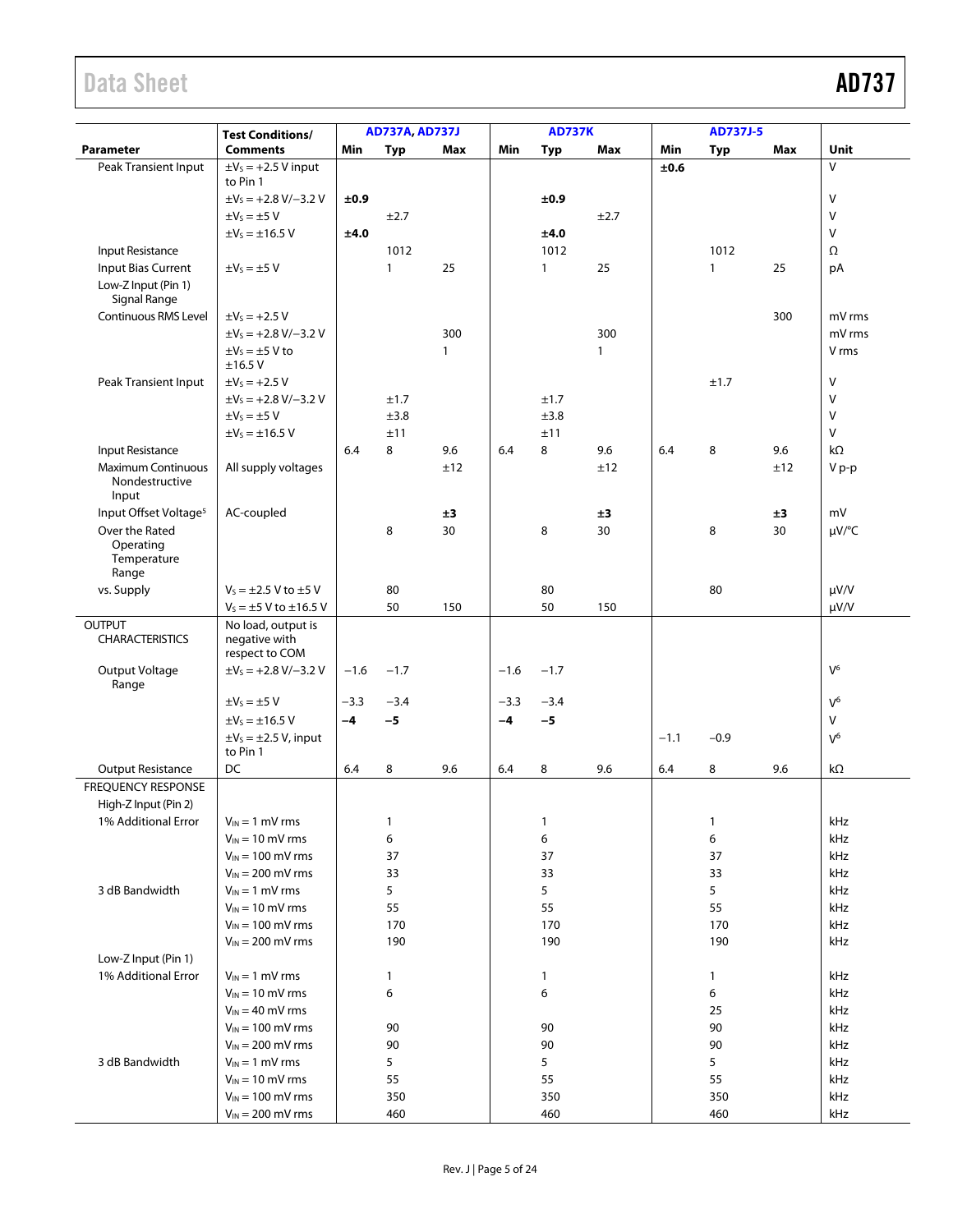# Data Sheet **AD737**

|                                                      |                                                       | <b>AD737A, AD737J</b> |              |              | <b>AD737K</b> |              |              | <b>AD737J-5</b> |              |     |              |
|------------------------------------------------------|-------------------------------------------------------|-----------------------|--------------|--------------|---------------|--------------|--------------|-----------------|--------------|-----|--------------|
| <b>Parameter</b>                                     | <b>Test Conditions/</b><br><b>Comments</b>            | Min                   | <b>Typ</b>   | Max          | Min           | <b>Typ</b>   | Max          | Min             | <b>Typ</b>   | Max | Unit         |
| Peak Transient Input                                 | $\pm V_S = +2.5$ V input                              |                       |              |              |               |              |              | ±0.6            |              |     | $\vee$       |
|                                                      | to Pin 1                                              |                       |              |              |               |              |              |                 |              |     |              |
|                                                      | $\pm V_5 = +2.8 V/-3.2 V$                             | ±0.9                  |              |              |               | ±0.9         |              |                 |              |     | $\vee$       |
|                                                      | $\pm V_S = \pm 5$ V                                   |                       | ±2.7         |              |               |              | ±2.7         |                 |              |     | $\vee$       |
|                                                      | $\pm V_S = \pm 16.5 V$                                | ±4.0                  |              |              |               | ±4.0         |              |                 |              |     | $\vee$       |
| Input Resistance                                     |                                                       |                       | 1012         |              |               | 1012         |              |                 | 1012         |     | Ω            |
| Input Bias Current                                   | $\pm V_S = \pm 5$ V                                   |                       | $\mathbf{1}$ | 25           |               | $\mathbf{1}$ | 25           |                 | $\mathbf{1}$ | 25  | рA           |
| Low-Z Input (Pin 1)<br>Signal Range                  |                                                       |                       |              |              |               |              |              |                 |              |     |              |
| Continuous RMS Level                                 | $\pm V_S = +2.5 V$                                    |                       |              |              |               |              |              |                 |              | 300 | mV rms       |
|                                                      | $\pm V_S = +2.8 V/-3.2 V$                             |                       |              | 300          |               |              | 300          |                 |              |     | mV rms       |
|                                                      | $\pm V_S = \pm 5$ V to<br>±16.5V                      |                       |              | $\mathbf{1}$ |               |              | $\mathbf{1}$ |                 |              |     | V rms        |
| Peak Transient Input                                 | $\pm V_S = +2.5 V$                                    |                       |              |              |               |              |              |                 | ±1.7         |     | V            |
|                                                      | $\pm V_S = +2.8 V/-3.2 V$                             |                       | ±1.7         |              |               | ±1.7         |              |                 |              |     | $\mathsf{V}$ |
|                                                      | $\pm V_S = \pm 5$ V                                   |                       | ±3.8         |              |               | ±3.8         |              |                 |              |     | $\vee$       |
|                                                      | $\pm V_S = \pm 16.5 V$                                |                       | ±11          |              |               | ±11          |              |                 |              |     | $\vee$       |
| Input Resistance                                     |                                                       | 6.4                   | 8            | 9.6          | 6.4           | 8            | 9.6          | 6.4             | 8            | 9.6 | kΩ           |
| <b>Maximum Continuous</b><br>Nondestructive<br>Input | All supply voltages                                   |                       |              | ±12          |               |              | ±12          |                 |              | ±12 | V p-p        |
| Input Offset Voltage <sup>5</sup>                    | AC-coupled                                            |                       |              | ±3           |               |              | ±3           |                 |              | ±3  | mV           |
| Over the Rated                                       |                                                       |                       | 8            | 30           |               | 8            | 30           |                 | 8            | 30  | µV/°C        |
| Operating<br>Temperature<br>Range                    |                                                       |                       |              |              |               |              |              |                 |              |     |              |
| vs. Supply                                           | $V_5 = \pm 2.5 V$ to $\pm 5 V$                        |                       | 80           |              |               | 80           |              |                 | 80           |     | $\mu$ V/V    |
|                                                      | $V_5 = \pm 5$ V to $\pm 16.5$ V                       |                       | 50           | 150          |               | 50           | 150          |                 |              |     | $\mu V/V$    |
| <b>OUTPUT</b><br><b>CHARACTERISTICS</b>              | No load, output is<br>negative with<br>respect to COM |                       |              |              |               |              |              |                 |              |     |              |
| Output Voltage<br>Range                              | $\pm V_5 = +2.8 V/-3.2 V$                             | $-1.6$                | $-1.7$       |              | $-1.6$        | $-1.7$       |              |                 |              |     | $V^6$        |
|                                                      | $\pm V_S = \pm 5$ V                                   | $-3.3$                | $-3.4$       |              | $-3.3$        | $-3.4$       |              |                 |              |     | $V^6$        |
|                                                      | $\pm V_S = \pm 16.5 V$                                | $-4$                  | $-5$         |              | $-4$          | $-5$         |              |                 |              |     | v            |
|                                                      | $\pm V_s = \pm 2.5$ V, input<br>to Pin 1              |                       |              |              |               |              |              | $-1.1$          | $-0.9$       |     | $V^6$        |
| <b>Output Resistance</b>                             | DC                                                    | 6.4                   | 8            | 9.6          | 6.4           | 8            | 9.6          | 6.4             | 8            | 9.6 | kΩ           |
| <b>FREQUENCY RESPONSE</b>                            |                                                       |                       |              |              |               |              |              |                 |              |     |              |
| High-Z Input (Pin 2)                                 |                                                       |                       |              |              |               |              |              |                 |              |     |              |
| 1% Additional Error                                  | $V_{IN} = 1$ mV rms                                   |                       | $\mathbf{1}$ |              |               | 1            |              |                 | $\mathbf{1}$ |     | kHz          |
|                                                      | $V_{IN} = 10$ mV rms                                  |                       | 6            |              |               | 6            |              |                 | 6            |     | kHz          |
|                                                      | $V_{IN} = 100$ mV rms                                 |                       | 37           |              |               | 37           |              |                 | 37           |     | kHz          |
|                                                      | $V_{IN} = 200$ mV rms                                 |                       | 33           |              |               | 33           |              |                 | 33           |     | kHz          |
| 3 dB Bandwidth                                       | $V_{IN} = 1$ mV rms                                   |                       | 5            |              |               | 5            |              |                 | 5            |     | kHz          |
|                                                      | $V_{IN} = 10$ mV rms                                  |                       | 55           |              |               | 55           |              |                 | 55           |     | kHz          |
|                                                      | $V_{IN}$ = 100 mV rms                                 |                       | 170          |              |               | 170          |              |                 | 170          |     | kHz          |
|                                                      | $V_{IN} = 200$ mV rms                                 |                       | 190          |              |               | 190          |              |                 | 190          |     | kHz          |
| Low-Z Input (Pin 1)                                  |                                                       |                       |              |              |               |              |              |                 |              |     |              |
| 1% Additional Error                                  | $V_{IN} = 1$ mV rms                                   |                       | $\mathbf{1}$ |              |               | 1            |              |                 | 1            |     | kHz          |
|                                                      | $V_{IN}$ = 10 mV rms                                  |                       | 6            |              |               | 6            |              |                 | 6            |     | kHz          |
|                                                      | $V_{IN} = 40$ mV rms                                  |                       |              |              |               |              |              |                 | 25           |     | kHz          |
|                                                      | $V_{IN}$ = 100 mV rms                                 |                       | 90           |              |               | 90           |              |                 | 90           |     | kHz          |
|                                                      | $V_{IN}$ = 200 mV rms                                 |                       | 90           |              |               | 90           |              |                 | 90           |     | kHz          |
| 3 dB Bandwidth                                       | $V_{IN} = 1$ mV rms                                   |                       | 5            |              |               | 5            |              |                 | 5            |     | kHz          |
|                                                      | $V_{IN} = 10$ mV rms                                  |                       | 55           |              |               | 55           |              |                 | 55           |     | kHz          |
|                                                      | $V_{IN}$ = 100 mV rms                                 |                       | 350          |              |               | 350          |              |                 | 350          |     | kHz          |
|                                                      | $V_{IN} = 200$ mV rms                                 |                       | 460          |              |               | 460          |              |                 | 460          |     | kHz          |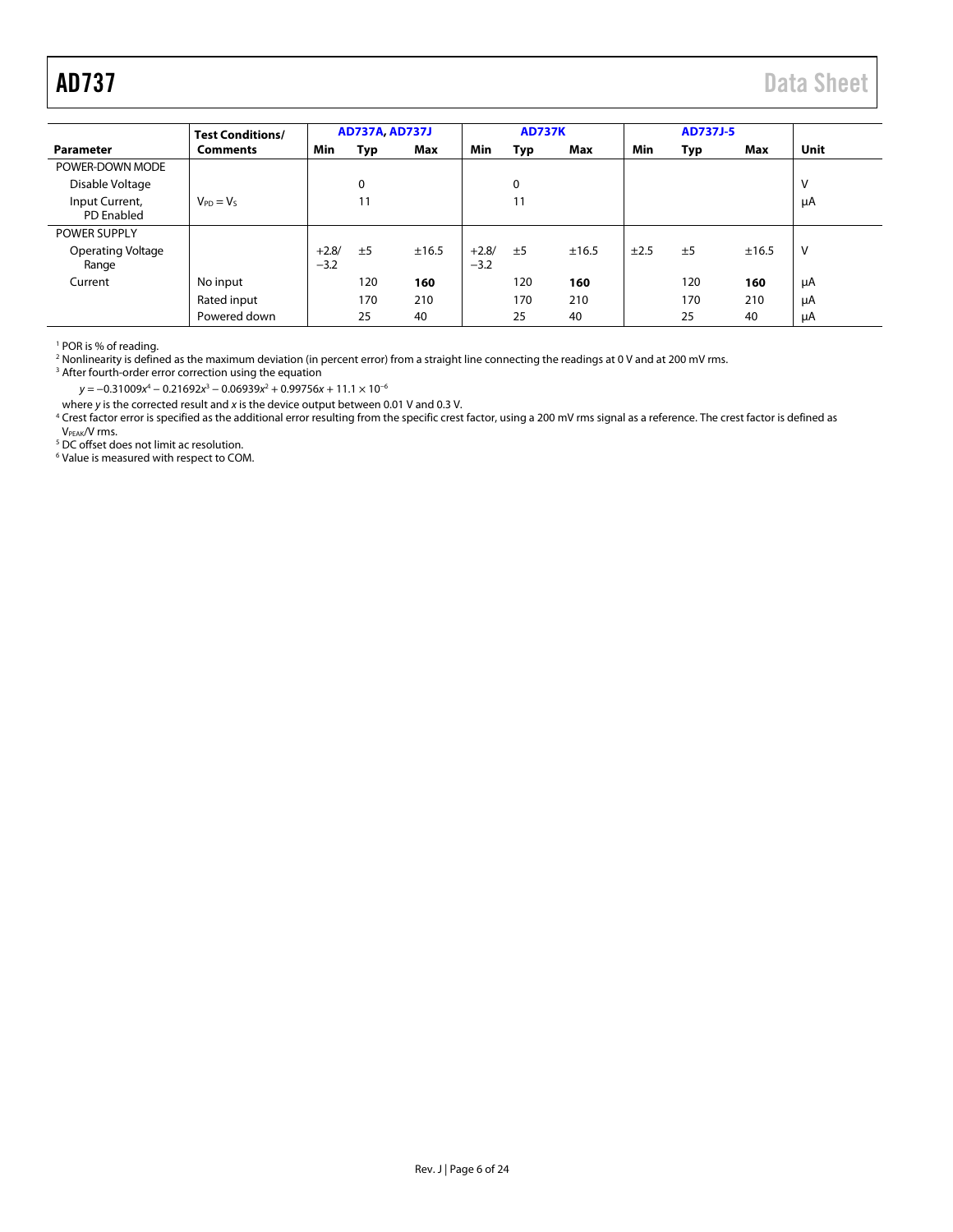<span id="page-5-0"></span>

|                                     | <b>Test Conditions/</b> |                   | <b>AD737A, AD737J</b> |       |                   | <b>AD737K</b> |       |      | <b>AD737J-5</b> |       |      |
|-------------------------------------|-------------------------|-------------------|-----------------------|-------|-------------------|---------------|-------|------|-----------------|-------|------|
| Parameter                           | <b>Comments</b>         | Min               | Typ                   | Max   | Min               | Typ           | Max   | Min  | Typ             | Max   | Unit |
| POWER-DOWN MODE                     |                         |                   |                       |       |                   |               |       |      |                 |       |      |
| Disable Voltage                     |                         |                   | 0                     |       |                   | 0             |       |      |                 |       | V    |
| Input Current,<br><b>PD</b> Enabled | $V_{PD} = V_S$          |                   | 11                    |       |                   | 11            |       |      |                 |       | μA   |
| <b>POWER SUPPLY</b>                 |                         |                   |                       |       |                   |               |       |      |                 |       |      |
| <b>Operating Voltage</b><br>Range   |                         | $+2.8/$<br>$-3.2$ | ±5                    | ±16.5 | $+2.8/$<br>$-3.2$ | ±5            | ±16.5 | ±2.5 | ±5              | ±16.5 | v    |
| Current                             | No input                |                   | 120                   | 160   |                   | 120           | 160   |      | 120             | 160   | μA   |
|                                     | Rated input             |                   | 170                   | 210   |                   | 170           | 210   |      | 170             | 210   | μA   |
|                                     | Powered down            |                   | 25                    | 40    |                   | 25            | 40    |      | 25              | 40    | μA   |

<sup>1</sup> POR is % of reading.<br><sup>2</sup> Nonlinearity is defined as the maximum deviation (in percent error) from a straight line connecting the readings at 0 V and at 200 mV rms.<br><sup>3</sup> After fourth-order error correction using the equa

<sup>3</sup> After fourth-order error correction using the equation

y = −0.31009x<sup>4</sup> − 0.21692x<sup>3</sup> − 0.06939x<sup>2</sup> + 0.99756x + 11.1 × 10<sup>−6</sup>

where y is the corrected result and x is the device output between 0.01 V and 0.3 V.<br><sup>4</sup> Crest factor error is specified as the additional error resulting from the specific crest factor, using a 200 mV rms signal as a refe V<sub>PEAK</sub>/V rms.<br><sup>5</sup> DC offset does not limit ac resolution.

6 Value is measured with respect to COM.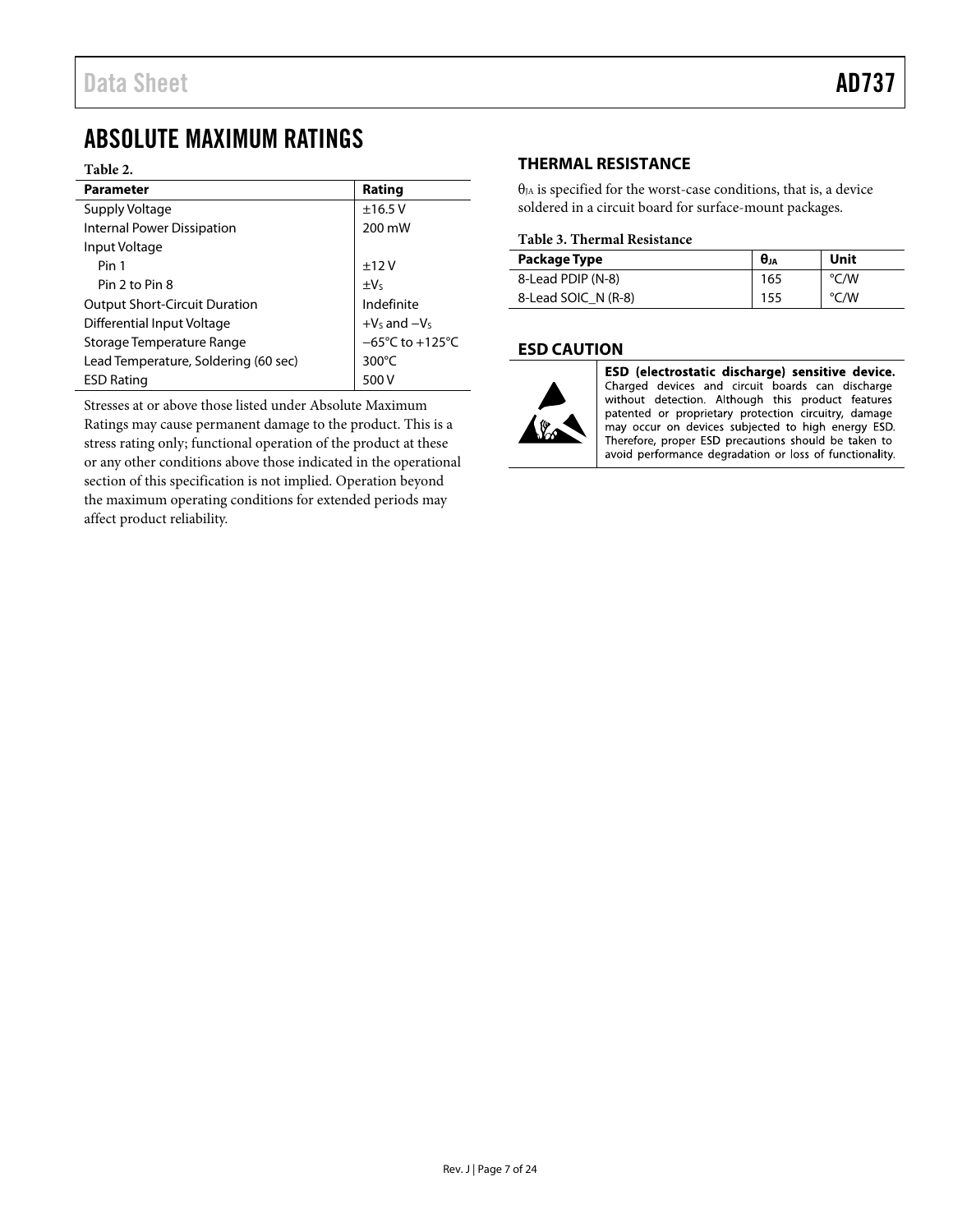# <span id="page-6-0"></span>ABSOLUTE MAXIMUM RATINGS

### **Table 2.**

| <b>Parameter</b>                     | Rating                               |  |  |
|--------------------------------------|--------------------------------------|--|--|
| Supply Voltage                       | ±16.5V                               |  |  |
| <b>Internal Power Dissipation</b>    | 200 mW                               |  |  |
| Input Voltage                        |                                      |  |  |
| Pin 1                                | ±12V                                 |  |  |
| Pin 2 to Pin 8                       | $\pm V_5$                            |  |  |
| <b>Output Short-Circuit Duration</b> | Indefinite                           |  |  |
| Differential Input Voltage           | $+V_5$ and $-V_5$                    |  |  |
| Storage Temperature Range            | $-65^{\circ}$ C to +125 $^{\circ}$ C |  |  |
| Lead Temperature, Soldering (60 sec) | $300^{\circ}$ C                      |  |  |
| <b>ESD Rating</b>                    | 500 V                                |  |  |

Stresses at or above those listed under Absolute Maximum Ratings may cause permanent damage to the product. This is a stress rating only; functional operation of the product at these or any other conditions above those indicated in the operational section of this specification is not implied. Operation beyond the maximum operating conditions for extended periods may affect product reliability.

# <span id="page-6-1"></span>**THERMAL RESISTANCE**

 $\theta_{IA}$  is specified for the worst-case conditions, that is, a device soldered in a circuit board for surface-mount packages.

## **Table 3. Thermal Resistance**

| Package Type        | $\theta_{JA}$ | Unit |
|---------------------|---------------|------|
| 8-Lead PDIP (N-8)   | 165           | °C/W |
| 8-Lead SOIC N (R-8) | 155           | °C/W |

# <span id="page-6-2"></span>**ESD CAUTION**



ESD (electrostatic discharge) sensitive device. Charged devices and circuit boards can discharge without detection. Although this product features patented or proprietary protection circuitry, damage may occur on devices subjected to high energy ESD. Therefore, proper ESD precautions should be taken to avoid performance degradation or loss of functionality.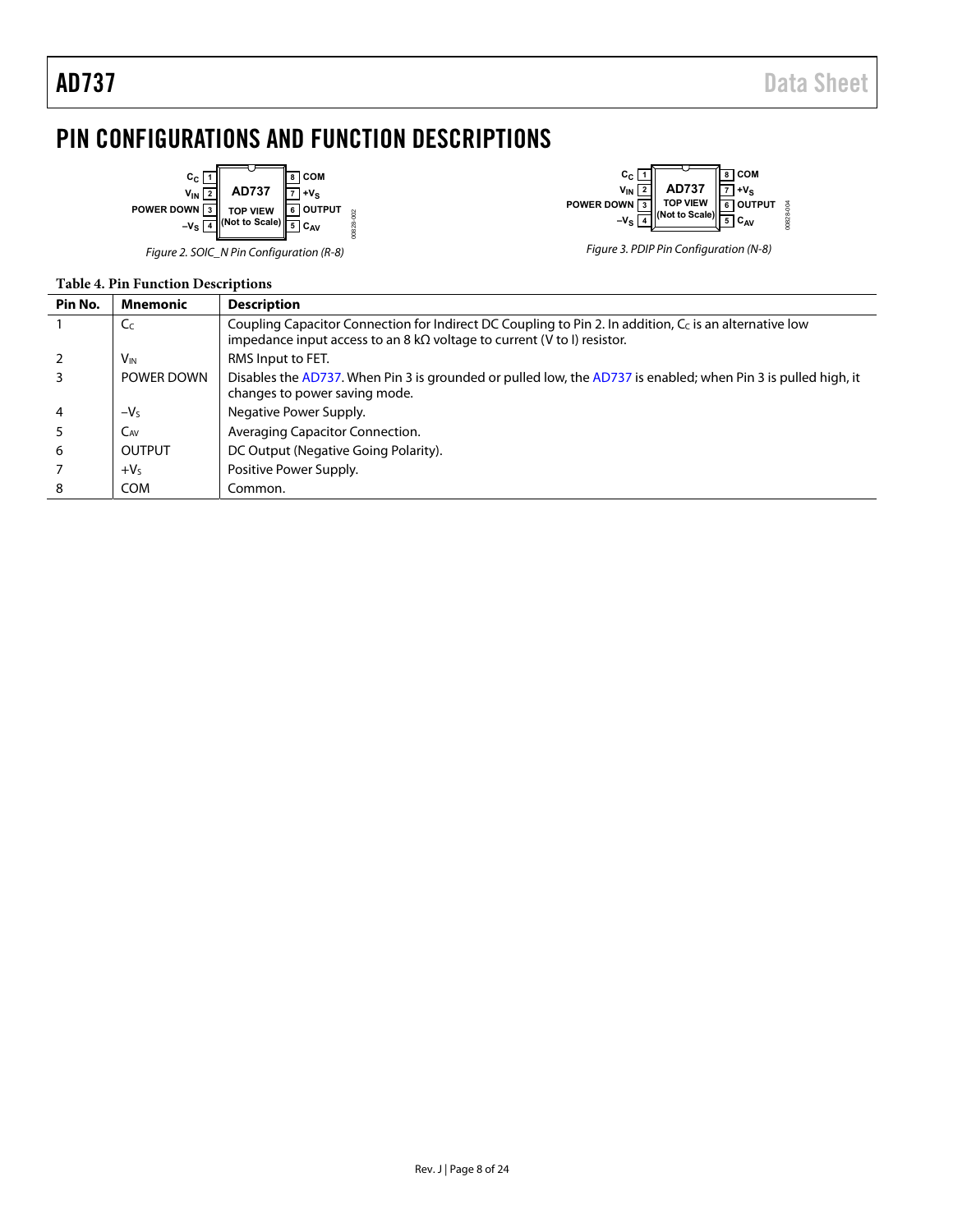# <span id="page-7-0"></span>PIN CONFIGURATIONS AND FUNCTION DESCRIPTIONS

00828-002



Figure 2. SOIC\_N Pin Configuration (R-8) Figure 3. PDIP Pin Configuration (N-8)



## **Table 4. Pin Function Descriptions**

| Pin No. | Mnemonic          | <b>Description</b>                                                                                                                                                                                           |
|---------|-------------------|--------------------------------------------------------------------------------------------------------------------------------------------------------------------------------------------------------------|
|         | C <sub>C</sub>    | Coupling Capacitor Connection for Indirect DC Coupling to Pin 2. In addition, C <sub>c</sub> is an alternative low<br>impedance input access to an $8 \text{ k}\Omega$ voltage to current (V to I) resistor. |
|         | V <sub>IN</sub>   | RMS Input to FET.                                                                                                                                                                                            |
|         | <b>POWER DOWN</b> | Disables the AD737. When Pin 3 is grounded or pulled low, the AD737 is enabled; when Pin 3 is pulled high, it<br>changes to power saving mode.                                                               |
| 4       | $-VS$             | Negative Power Supply.                                                                                                                                                                                       |
|         | CAV               | Averaging Capacitor Connection.                                                                                                                                                                              |
| 6       | OUTPUT            | DC Output (Negative Going Polarity).                                                                                                                                                                         |
|         | $+VS$             | Positive Power Supply.                                                                                                                                                                                       |
| 8       | <b>COM</b>        | Common.                                                                                                                                                                                                      |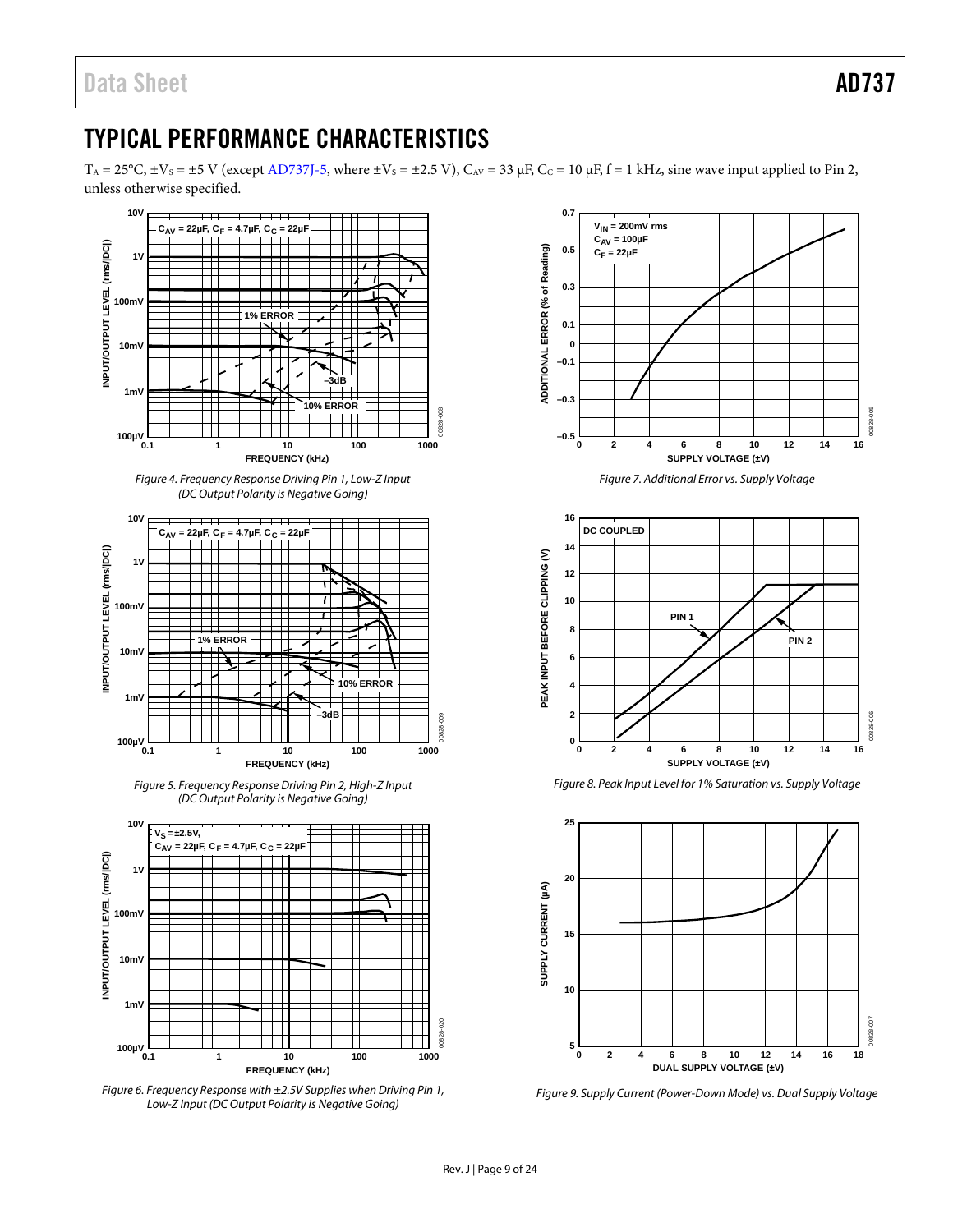# <span id="page-8-0"></span>TYPICAL PERFORMANCE CHARACTERISTICS

 $T_A = 25^{\circ}$ C,  $\pm V_s = \pm 5$  V (except [AD737J-5,](http://www.analog.com/AD737?doc=AD737.pdf) where  $\pm V_s = \pm 2.5$  V),  $C_{AV} = 33 \mu$ F,  $C_C = 10 \mu$ F, f = 1 kHz, sine wave input applied to Pin 2, unless otherwise specified.



*Figure 6. Frequency Response with ±2.5V Supplies when Driving Pin 1, Low-Z Input (DC Output Polarity is Negative Going)*



*Figure 7. Additional Error vs. Supply Voltage*



*Figure 8. Peak Input Level for 1% Saturation vs. Supply Voltage*



*Figure 9. Supply Current (Power-Down Mode) vs. Dual Supply Voltage*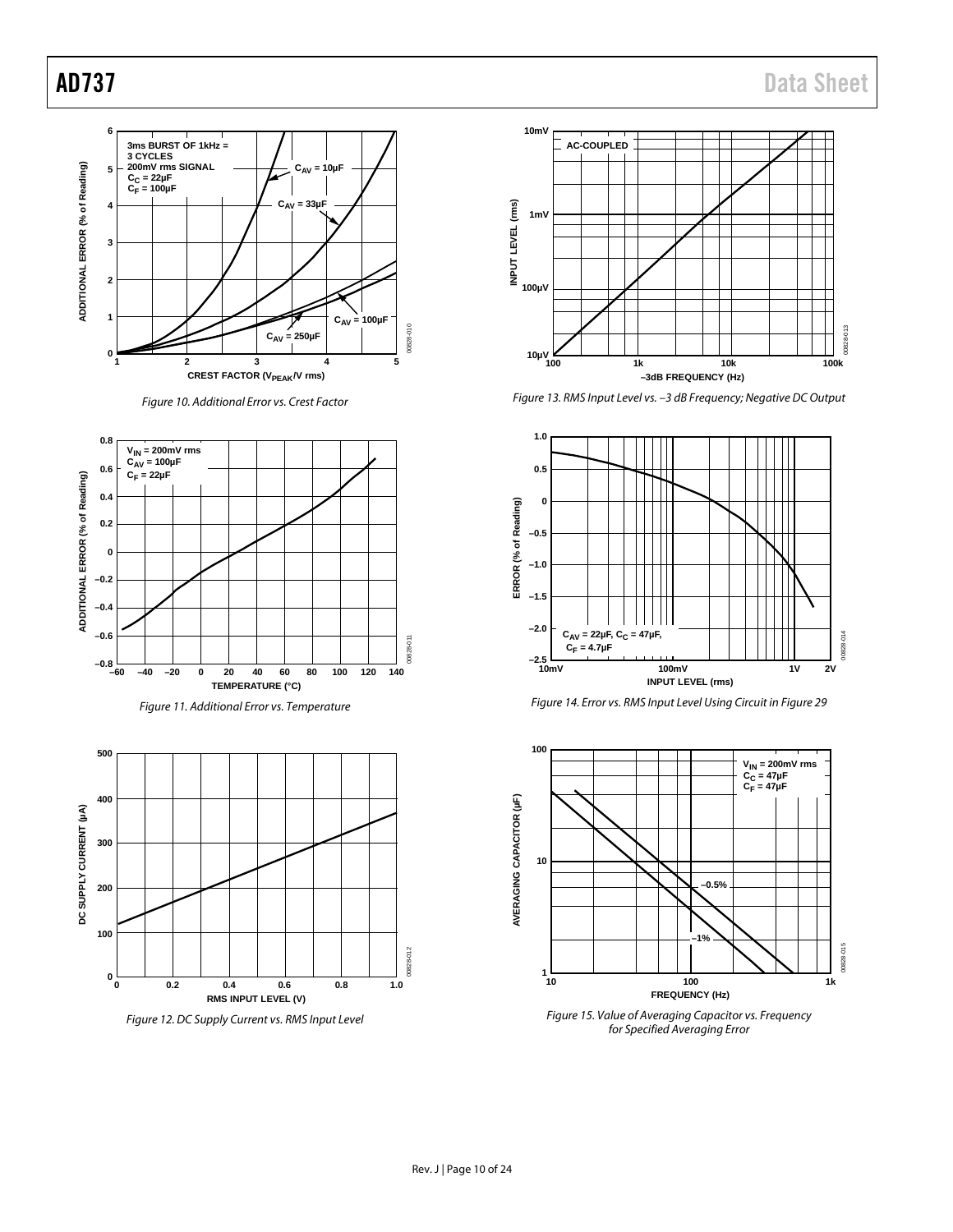

*Figure 10. Additional Error vs. Crest Factor*

<span id="page-9-0"></span>





*Figure 12. DC Supply Current vs. RMS Input Level*



*Figure 13. RMS Input Level vs. –3 dB Frequency; Negative DC Output*







*Figure 15. Value of Averaging Capacitor vs. Frequency for Specified Averaging Error*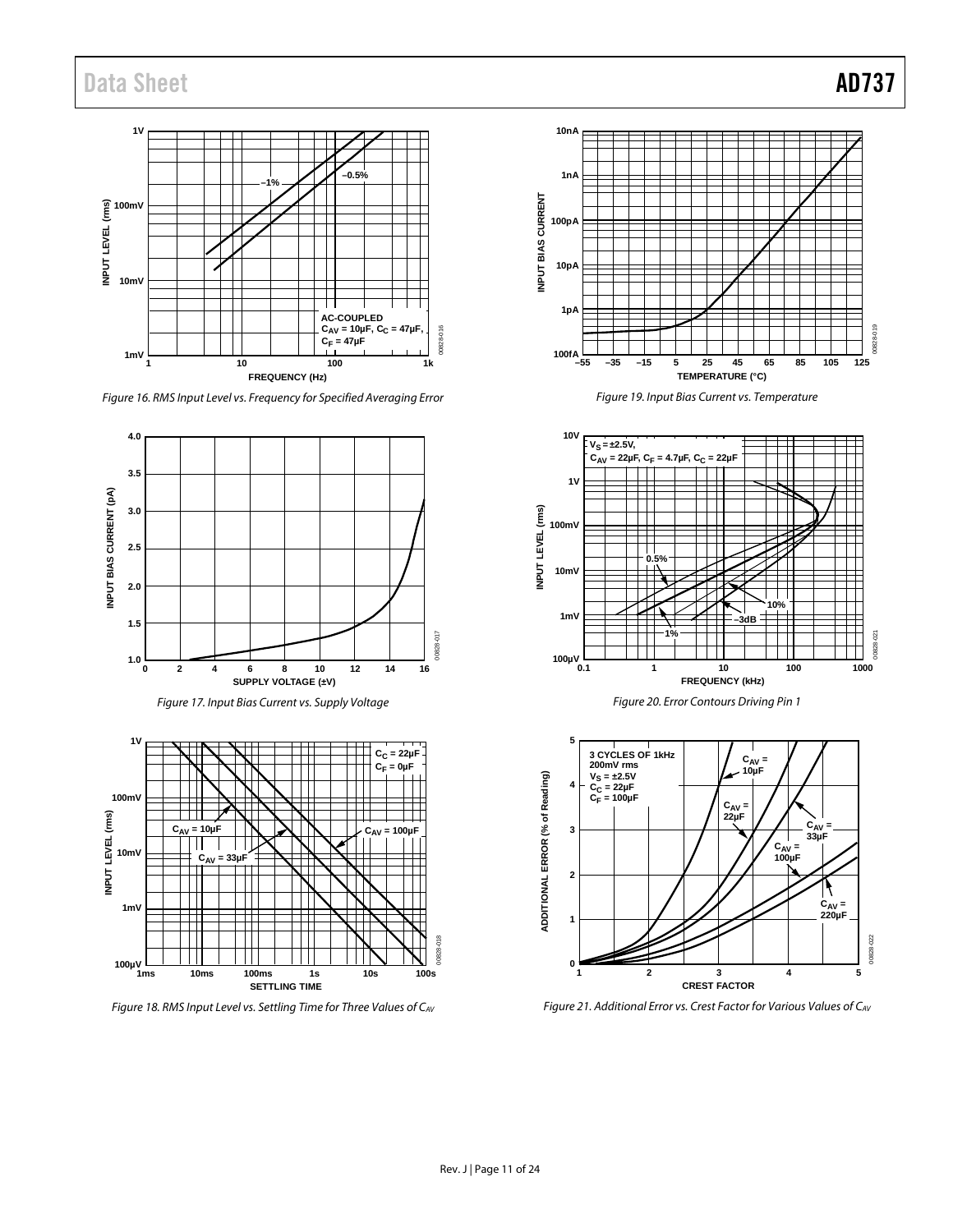# Data Sheet **AD737**



*Figure 16. RMS Input Level vs. Frequency for Specified Averaging Error*





<span id="page-10-0"></span>*Figure 18. RMS Input Level vs. Settling Time for Three Values of CAV*



*Figure 19. Input Bias Current vs. Temperature*







*Figure 21. Additional Error vs. Crest Factor for Various Values of CAV*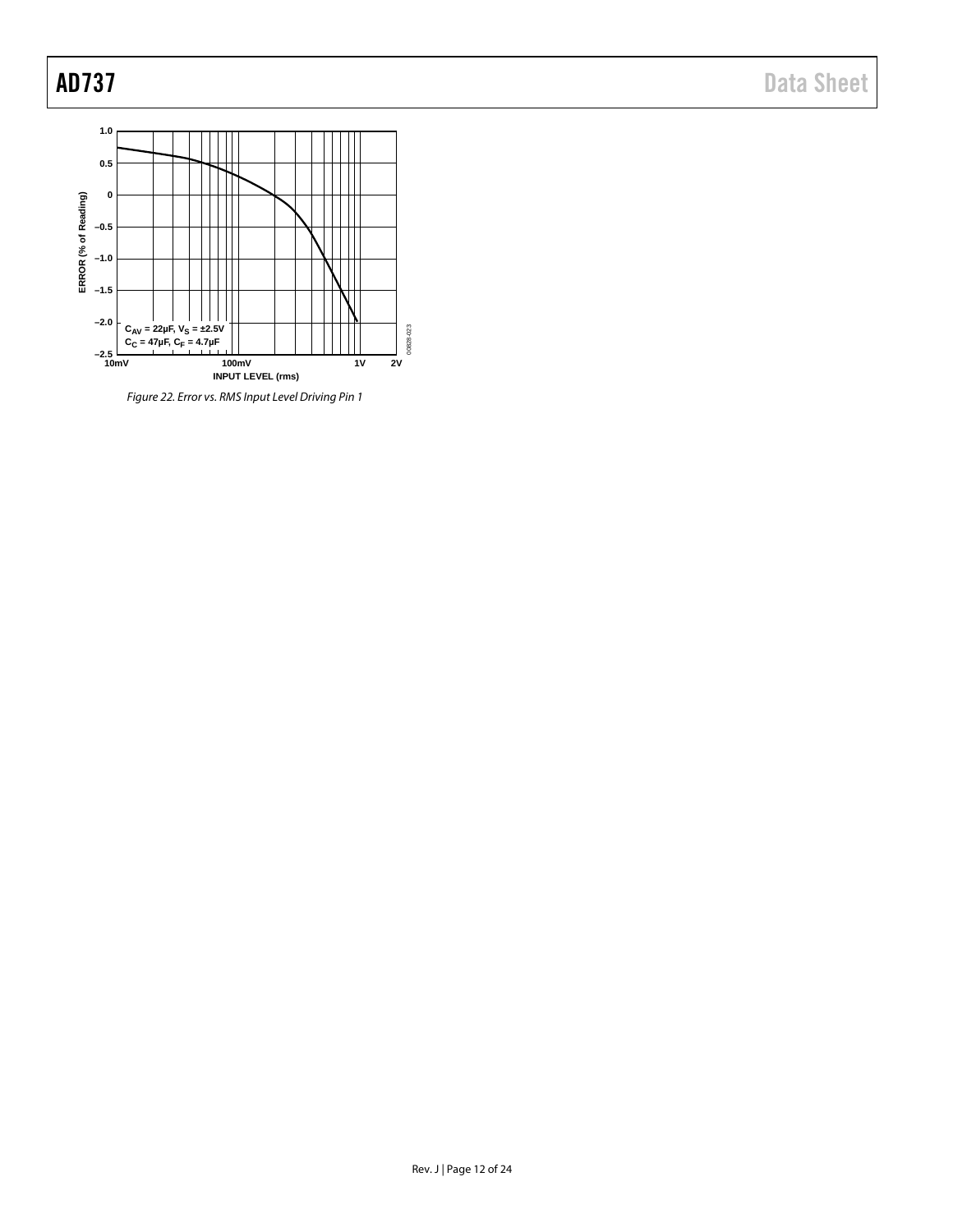AD737 Data Sheet



*Figure 22. Error vs. RMS Input Level Driving Pin 1*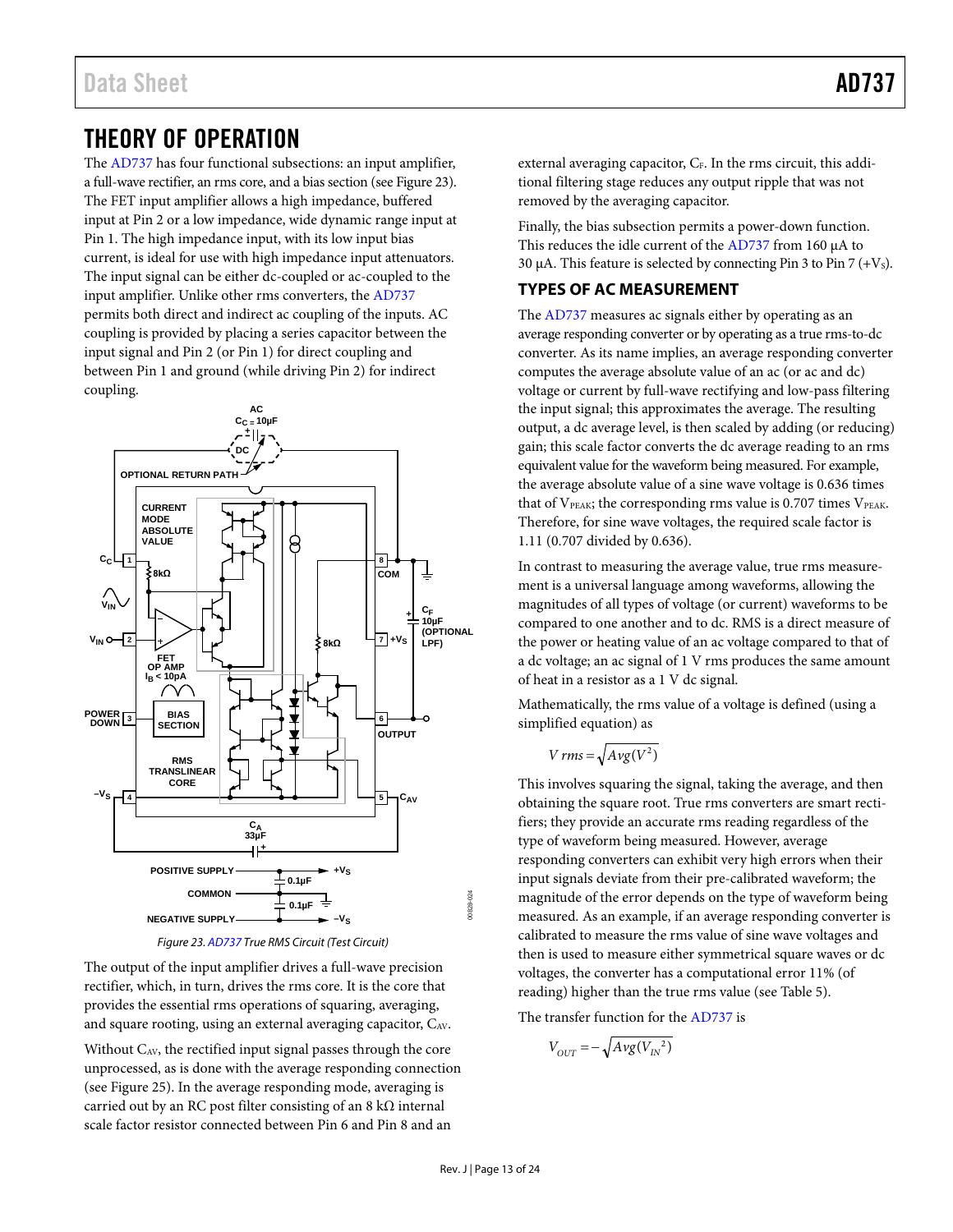# <span id="page-12-0"></span>THEORY OF OPERATION

The [AD737](http://www.analog.com/AD737?doc=AD737.pdf) has four functional subsections: an input amplifier, a full-wave rectifier, an rms core, and a bias section (se[e Figure 23\)](#page-12-2). The FET input amplifier allows a high impedance, buffered input at Pin 2 or a low impedance, wide dynamic range input at Pin 1. The high impedance input, with its low input bias current, is ideal for use with high impedance input attenuators. The input signal can be either dc-coupled or ac-coupled to the input amplifier. Unlike other rms converters, th[e AD737](http://www.analog.com/AD737?doc=AD737.pdf) permits both direct and indirect ac coupling of the inputs. AC coupling is provided by placing a series capacitor between the input signal and Pin 2 (or Pin 1) for direct coupling and between Pin 1 and ground (while driving Pin 2) for indirect coupling.



*Figure 23. [AD737](http://www.analog.com/AD737?doc=AD737.pdf) True RMS Circuit (Test Circuit)*

<span id="page-12-2"></span>The output of the input amplifier drives a full-wave precision rectifier, which, in turn, drives the rms core. It is the core that provides the essential rms operations of squaring, averaging, and square rooting, using an external averaging capacitor, CAV.

Without CAV, the rectified input signal passes through the core unprocessed, as is done with the average responding connection (see [Figure 25\)](#page-14-5). In the average responding mode, averaging is carried out by an RC post filter consisting of an  $8 \text{ k}\Omega$  internal scale factor resistor connected between Pin 6 and Pin 8 and an

external averaging capacitor, CF. In the rms circuit, this additional filtering stage reduces any output ripple that was not removed by the averaging capacitor.

Finally, the bias subsection permits a power-down function. This reduces the idle current of th[e AD737](http://www.analog.com/AD737?doc=AD737.pdf) from 160 µA to 30  $\mu$ A. This feature is selected by connecting Pin 3 to Pin 7 (+V<sub>s</sub>).

# <span id="page-12-1"></span>**TYPES OF AC MEASUREMENT**

The [AD737](http://www.analog.com/AD737?doc=AD737.pdf) measures ac signals either by operating as an average responding converter or by operating as a true rms-to-dc converter. As its name implies, an average responding converter computes the average absolute value of an ac (or ac and dc) voltage or current by full-wave rectifying and low-pass filtering the input signal; this approximates the average. The resulting output, a dc average level, is then scaled by adding (or reducing) gain; this scale factor converts the dc average reading to an rms equivalent value for the waveform being measured. For example, the average absolute value of a sine wave voltage is 0.636 times that of  $V_{\text{PEAK}}$ ; the corresponding rms value is 0.707 times  $V_{\text{PEAK}}$ . Therefore, for sine wave voltages, the required scale factor is 1.11 (0.707 divided by 0.636).

In contrast to measuring the average value, true rms measurement is a universal language among waveforms, allowing the magnitudes of all types of voltage (or current) waveforms to be compared to one another and to dc. RMS is a direct measure of the power or heating value of an ac voltage compared to that of a dc voltage; an ac signal of 1 V rms produces the same amount of heat in a resistor as a 1 V dc signal.

Mathematically, the rms value of a voltage is defined (using a simplified equation) as

$$
V\,rms = \sqrt{Avg(V^2)}
$$

This involves squaring the signal, taking the average, and then obtaining the square root. True rms converters are smart rectifiers; they provide an accurate rms reading regardless of the type of waveform being measured. However, average responding converters can exhibit very high errors when their input signals deviate from their pre-calibrated waveform; the magnitude of the error depends on the type of waveform being measured. As an example, if an average responding converter is calibrated to measure the rms value of sine wave voltages and then is used to measure either symmetrical square waves or dc voltages, the converter has a computational error 11% (of reading) higher than the true rms value (se[e Table 5\)](#page-13-3).

The transfer function for th[e AD737](http://www.analog.com/AD737?doc=AD737.pdf) is

$$
V_{OUT}=-\sqrt{Avg(V_{IN}^2)}
$$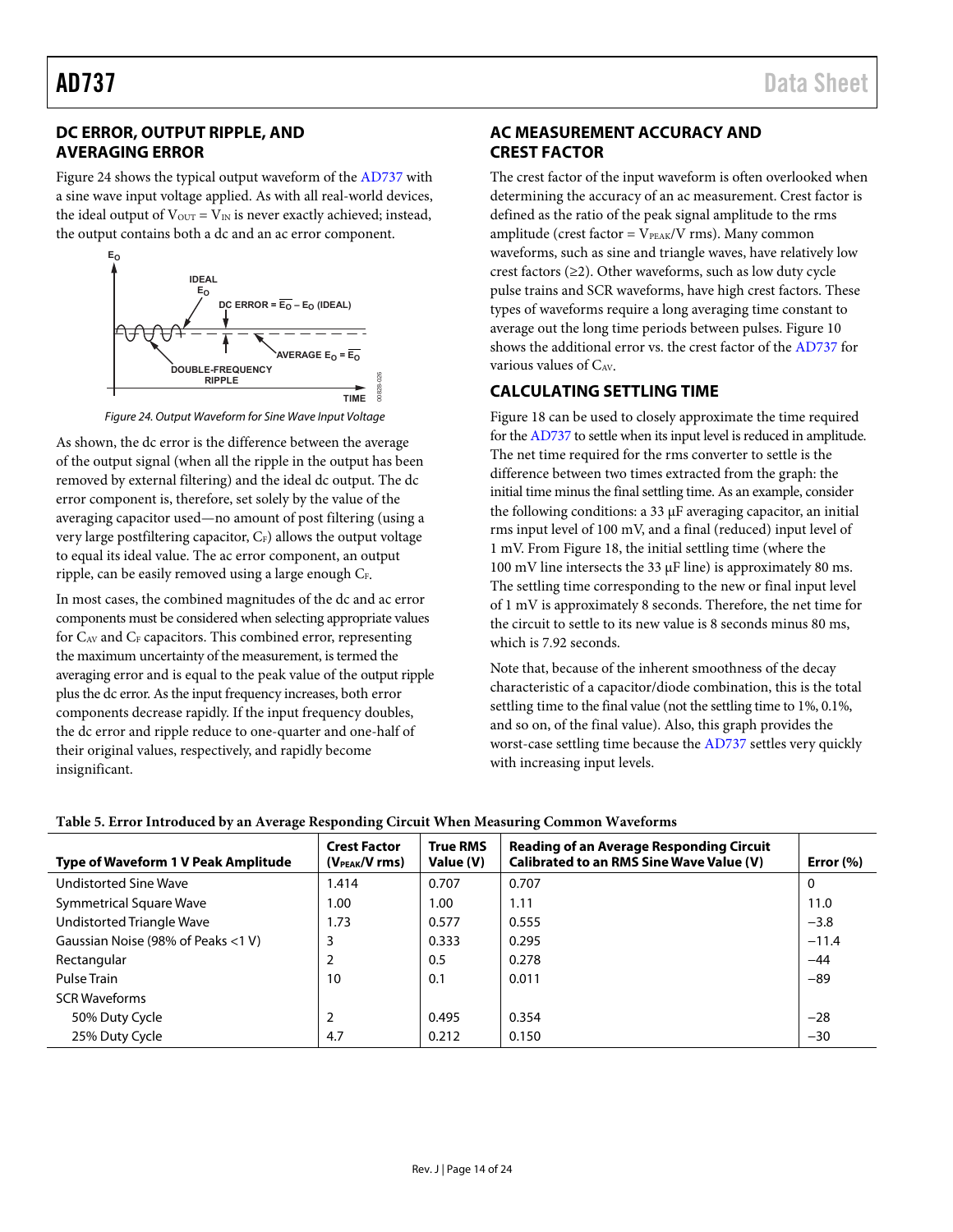# <span id="page-13-0"></span>**DC ERROR, OUTPUT RIPPLE, AND AVERAGING ERROR**

[Figure 24 s](#page-13-4)hows the typical output waveform of the [AD737](http://www.analog.com/AD737?doc=AD737.pdf) with a sine wave input voltage applied. As with all real-world devices, the ideal output of  $V_{\text{OUT}} = V_{\text{IN}}$  is never exactly achieved; instead, the output contains both a dc and an ac error component.



Figure 24. Output Waveform for Sine Wave Input Voltage

<span id="page-13-4"></span>As shown, the dc error is the difference between the average of the output signal (when all the ripple in the output has been removed by external filtering) and the ideal dc output. The dc error component is, therefore, set solely by the value of the averaging capacitor used—no amount of post filtering (using a very large postfiltering capacitor,  $C_F$ ) allows the output voltage to equal its ideal value. The ac error component, an output ripple, can be easily removed using a large enough C<sub>F</sub>.

In most cases, the combined magnitudes of the dc and ac error components must be considered when selecting appropriate values for  $C_{AV}$  and  $C_F$  capacitors. This combined error, representing the maximum uncertainty of the measurement, is termed the averaging error and is equal to the peak value of the output ripple plus the dc error. As the input frequency increases, both error components decrease rapidly. If the input frequency doubles, the dc error and ripple reduce to one-quarter and one-half of their original values, respectively, and rapidly become insignificant.

# <span id="page-13-1"></span>**AC MEASUREMENT ACCURACY AND CREST FACTOR**

The crest factor of the input waveform is often overlooked when determining the accuracy of an ac measurement. Crest factor is defined as the ratio of the peak signal amplitude to the rms amplitude (crest factor =  $V_{\text{PEAK}}/V$  rms). Many common waveforms, such as sine and triangle waves, have relatively low crest factors  $(\geq 2)$ . Other waveforms, such as low duty cycle pulse trains and SCR waveforms, have high crest factors. These types of waveforms require a long averaging time constant to average out the long time periods between pulses. [Figure 10](#page-9-0)  shows the additional error vs. the crest factor of the [AD737 f](http://www.analog.com/AD737?doc=AD737.pdf)or various values of  $C_{AV}$ .

# <span id="page-13-2"></span>**CALCULATING SETTLING TIME**

[Figure 18 c](#page-10-0)an be used to closely approximate the time required for th[e AD737 t](http://www.analog.com/AD737?doc=AD737.pdf)o settle when its input level is reduced in amplitude. The net time required for the rms converter to settle is the difference between two times extracted from the graph: the initial time minus the final settling time. As an example, consider the following conditions: a 33 μF averaging capacitor, an initial rms input level of 100 mV, and a final (reduced) input level of 1 mV. From [Figure 18,](#page-10-0) the initial settling time (where the 100 mV line intersects the 33 μF line) is approximately 80 ms. The settling time corresponding to the new or final input level of 1 mV is approximately 8 seconds. Therefore, the net time for the circuit to settle to its new value is 8 seconds minus 80 ms, which is 7.92 seconds.

Note that, because of the inherent smoothness of the decay characteristic of a capacitor/diode combination, this is the total settling time to the final value (not the settling time to 1%, 0.1%, and so on, of the final value). Also, this graph provides the worst-case settling time because th[e AD737](http://www.analog.com/AD737?doc=AD737.pdf) settles very quickly with increasing input levels.

| <b>Type of Waveform 1 V Peak Amplitude</b> | <b>Crest Factor</b><br>$(VPEAK/V$ rms) | True RMS<br>Value (V) | <b>Reading of an Average Responding Circuit</b><br>Calibrated to an RMS Sine Wave Value (V) | Error $(\% )$ |
|--------------------------------------------|----------------------------------------|-----------------------|---------------------------------------------------------------------------------------------|---------------|
| <b>Undistorted Sine Wave</b>               | 1.414                                  | 0.707                 | 0.707                                                                                       | 0             |
| Symmetrical Square Wave                    | 1.00                                   | 1.00                  | 1.11                                                                                        | 11.0          |
| Undistorted Triangle Wave                  | 1.73                                   | 0.577                 | 0.555                                                                                       | $-3.8$        |
| Gaussian Noise (98% of Peaks <1 V)         | 3                                      | 0.333                 | 0.295                                                                                       | $-11.4$       |
| Rectangular                                | 2                                      | 0.5                   | 0.278                                                                                       | $-44$         |
| Pulse Train                                | 10                                     | 0.1                   | 0.011                                                                                       | $-89$         |
| <b>SCR Waveforms</b>                       |                                        |                       |                                                                                             |               |
| 50% Duty Cycle                             | $\overline{2}$                         | 0.495                 | 0.354                                                                                       | $-28$         |
| 25% Duty Cycle                             | 4.7                                    | 0.212                 | 0.150                                                                                       | $-30$         |

<span id="page-13-3"></span>**Table 5. Error Introduced by an Average Responding Circuit When Measuring Common Waveforms**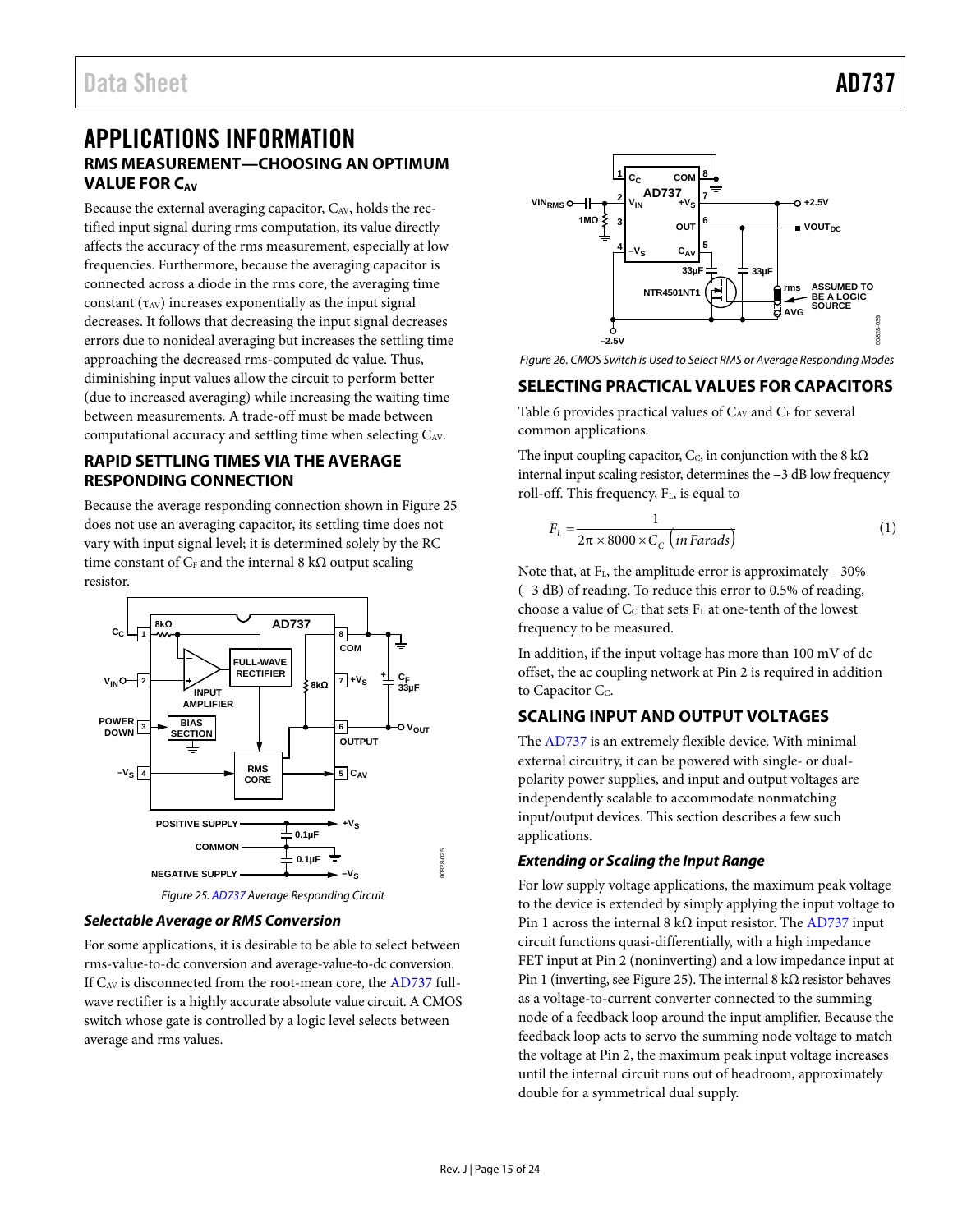# <span id="page-14-1"></span><span id="page-14-0"></span>APPLICATIONS INFORMATION **RMS MEASUREMENT—CHOOSING AN OPTIMUM VALUE FOR CAV**

Because the external averaging capacitor,  $C_{AV}$ , holds the rectified input signal during rms computation, its value directly affects the accuracy of the rms measurement, especially at low frequencies. Furthermore, because the averaging capacitor is connected across a diode in the rms core, the averaging time constant  $(\tau_{AV})$  increases exponentially as the input signal decreases. It follows that decreasing the input signal decreases errors due to nonideal averaging but increases the settling time approaching the decreased rms-computed dc value. Thus, diminishing input values allow the circuit to perform better (due to increased averaging) while increasing the waiting time between measurements. A trade-off must be made between computational accuracy and settling time when selecting CAV.

# <span id="page-14-2"></span>**RAPID SETTLING TIMES VIA THE AVERAGE RESPONDING CONNECTION**

Because the average responding connection shown i[n Figure 25](#page-14-5) does not use an averaging capacitor, its settling time does not vary with input signal level; it is determined solely by the RC time constant of  $C_F$  and the internal 8 kΩ output scaling resistor.



<span id="page-14-5"></span>*Selectable Average or RMS Conversion*

For some applications, it is desirable to be able to select between rms-value-to-dc conversion and average-value-to-dc conversion. If  $C_{AV}$  is disconnected from the root-mean core, the  $AD737$  fullwave rectifier is a highly accurate absolute value circuit. A CMOS switch whose gate is controlled by a logic level selects between average and rms values.



*Figure 26. CMOS Switch is Used to Select RMS or Average Responding Modes*

# <span id="page-14-3"></span>**SELECTING PRACTICAL VALUES FOR CAPACITORS**

[Table 6](#page-15-1) provides practical values of CAV and CF for several common applications.

The input coupling capacitor,  $C_c$ , in conjunction with the 8 k $\Omega$ internal input scaling resistor, determines the −3 dB low frequency roll-off. This frequency, FL, is equal to

$$
F_L = \frac{1}{2\pi \times 8000 \times C_C \left( in\,F\right)}
$$
\n<sup>(1)</sup>

Note that, at FL, the amplitude error is approximately −30% (−3 dB) of reading. To reduce this error to 0.5% of reading, choose a value of  $C_C$  that sets  $F_L$  at one-tenth of the lowest frequency to be measured.

In addition, if the input voltage has more than 100 mV of dc offset, the ac coupling network at Pin 2 is required in addition to Capacitor C<sub>c</sub>.

# <span id="page-14-4"></span>**SCALING INPUT AND OUTPUT VOLTAGES**

The [AD737](http://www.analog.com/AD737?doc=AD737.pdf) is an extremely flexible device. With minimal external circuitry, it can be powered with single- or dualpolarity power supplies, and input and output voltages are independently scalable to accommodate nonmatching input/output devices. This section describes a few such applications.

## *Extending or Scaling the Input Range*

For low supply voltage applications, the maximum peak voltage to the device is extended by simply applying the input voltage to Pin 1 across the internal 8 k $\Omega$  input resistor. Th[e AD737](http://www.analog.com/AD737?doc=AD737.pdf) input circuit functions quasi-differentially, with a high impedance FET input at Pin 2 (noninverting) and a low impedance input at Pin 1 (inverting, se[e Figure 25\)](#page-14-5). The internal 8 kΩ resistor behaves as a voltage-to-current converter connected to the summing node of a feedback loop around the input amplifier. Because the feedback loop acts to servo the summing node voltage to match the voltage at Pin 2, the maximum peak input voltage increases until the internal circuit runs out of headroom, approximately double for a symmetrical dual supply.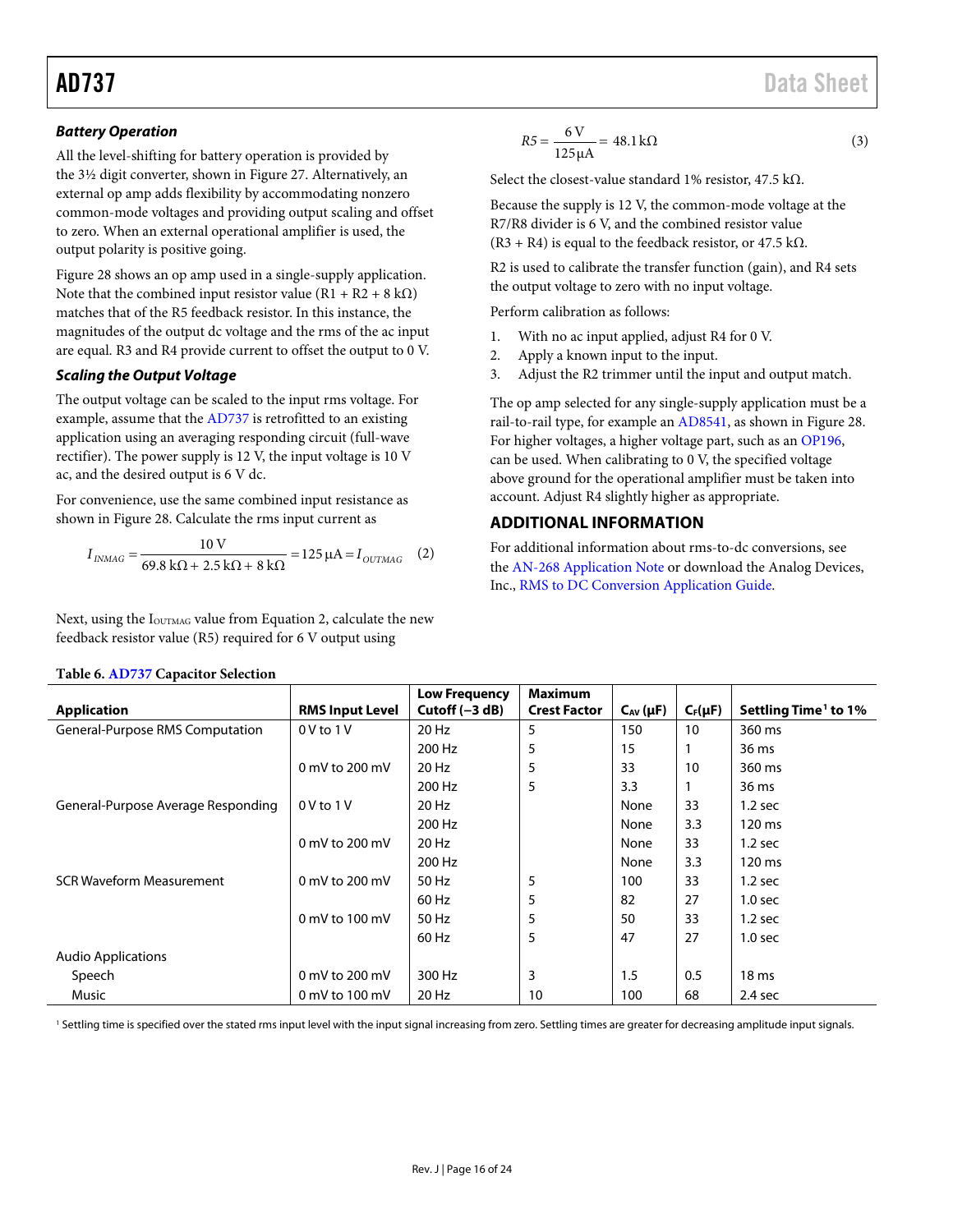## *Battery Operation*

All the level-shifting for battery operation is provided by the 3½ digit converter, shown i[n Figure 27.](#page-16-1) Alternatively, an external op amp adds flexibility by accommodating nonzero common-mode voltages and providing output scaling and offset to zero. When an external operational amplifier is used, the output polarity is positive going.

[Figure 28](#page-16-2) shows an op amp used in a single-supply application. Note that the combined input resistor value  $(R1 + R2 + 8 \text{ k}\Omega)$ matches that of the R5 feedback resistor. In this instance, the magnitudes of the output dc voltage and the rms of the ac input are equal. R3 and R4 provide current to offset the output to 0 V.

## *Scaling the Output Voltage*

The output voltage can be scaled to the input rms voltage. For example, assume that the [AD737](http://www.analog.com/AD737?doc=AD737.pdf) is retrofitted to an existing application using an averaging responding circuit (full-wave rectifier). The power supply is 12 V, the input voltage is 10 V ac, and the desired output is 6 V dc.

For convenience, use the same combined input resistance as shown in [Figure 28.](#page-16-2) Calculate the rms input current as

$$
I_{INMAG} = \frac{10 \text{ V}}{69.8 \text{ k}\Omega + 2.5 \text{ k}\Omega + 8 \text{ k}\Omega} = 125 \text{ }\mu\text{A} = I_{OUTMAG} \quad (2)
$$

Next, using the I<sub>OUTMAG</sub> value from Equation 2, calculate the new feedback resistor value (R5) required for 6 V output using

$$
R5 = \frac{6 \text{ V}}{125 \mu\text{A}} = 48.1 \text{ k}\Omega
$$
 (3)

Select the closest-value standard 1% resistor, 47.5 kΩ.

Because the supply is 12 V, the common-mode voltage at the R7/R8 divider is 6 V, and the combined resistor value  $(R3 + R4)$  is equal to the feedback resistor, or 47.5 kΩ.

R2 is used to calibrate the transfer function (gain), and R4 sets the output voltage to zero with no input voltage.

Perform calibration as follows:

- 1. With no ac input applied, adjust R4 for 0 V.
- 2. Apply a known input to the input.
- 3. Adjust the R2 trimmer until the input and output match.

The op amp selected for any single-supply application must be a rail-to-rail type, for example a[n AD8541,](http://www.analog.com/AD8541?doc=AD737.pdf) as shown i[n Figure 28.](#page-16-2) For higher voltages, a higher voltage part, such as an [OP196,](http://www.analog.com/OP196?doc=AD737.pdf) can be used. When calibrating to 0 V, the specified voltage above ground for the operational amplifier must be taken into account. Adjust R4 slightly higher as appropriate.

# <span id="page-15-0"></span>**ADDITIONAL INFORMATION**

For additional information about rms-to-dc conversions, see the [AN-268 Application Note](http://www.analog.com/AN-268?doc=ad737.pdf) or download the Analog Devices, Inc., [RMS to DC Conversion Application Guide.](http://www.analog.com/rms-to-dc-conversion?doc=ad737.pdf)

|                                    |                        | <b>Low Frequency</b> | <b>Maximum</b>      |                 |              |                                  |
|------------------------------------|------------------------|----------------------|---------------------|-----------------|--------------|----------------------------------|
| <b>Application</b>                 | <b>RMS Input Level</b> | Cutoff $(-3 dB)$     | <b>Crest Factor</b> | $C_{AV}(\mu F)$ | $C_F(\mu F)$ | Settling Time <sup>1</sup> to 1% |
| General-Purpose RMS Computation    | $0V$ to $1V$           | 20 Hz                | 5                   | 150             | 10           | 360 ms                           |
|                                    |                        | 200 Hz               | 5                   | 15              |              | 36 ms                            |
|                                    | 0 mV to 200 mV         | 20 Hz                | 5                   | 33              | 10           | 360 ms                           |
|                                    |                        | 200 Hz               | 5                   | 3.3             |              | 36 ms                            |
| General-Purpose Average Responding | $0V$ to $1V$           | 20 Hz                |                     | None            | 33           | 1.2 <sub>sec</sub>               |
|                                    |                        | 200 Hz               |                     | None            | 3.3          | 120 ms                           |
|                                    | 0 mV to 200 mV         | 20 Hz                |                     | None            | 33           | 1.2 <sub>sec</sub>               |
|                                    |                        | 200 Hz               |                     | None            | 3.3          | 120 ms                           |
| <b>SCR Waveform Measurement</b>    | 0 mV to 200 mV         | 50 Hz                | 5                   | 100             | 33           | $1.2$ sec                        |
|                                    |                        | 60 Hz                | 5                   | 82              | 27           | 1.0 <sub>sec</sub>               |
|                                    | 0 mV to 100 mV         | 50 Hz                | 5                   | 50              | 33           | 1.2 <sub>sec</sub>               |
|                                    |                        | 60 Hz                | 5                   | 47              | 27           | 1.0 <sub>sec</sub>               |
| <b>Audio Applications</b>          |                        |                      |                     |                 |              |                                  |
| Speech                             | 0 mV to 200 mV         | 300 Hz               | 3                   | 1.5             | 0.5          | 18 <sub>ms</sub>                 |
| Music                              | 0 mV to 100 mV         | 20 Hz                | 10                  | 100             | 68           | $2.4$ sec                        |

<span id="page-15-1"></span>**Table 6. [AD737](http://www.analog.com/AD737?doc=AD737.pdf) Capacitor Selection**

<sup>1</sup> Settling time is specified over the stated rms input level with the input signal increasing from zero. Settling times are greater for decreasing amplitude input signals.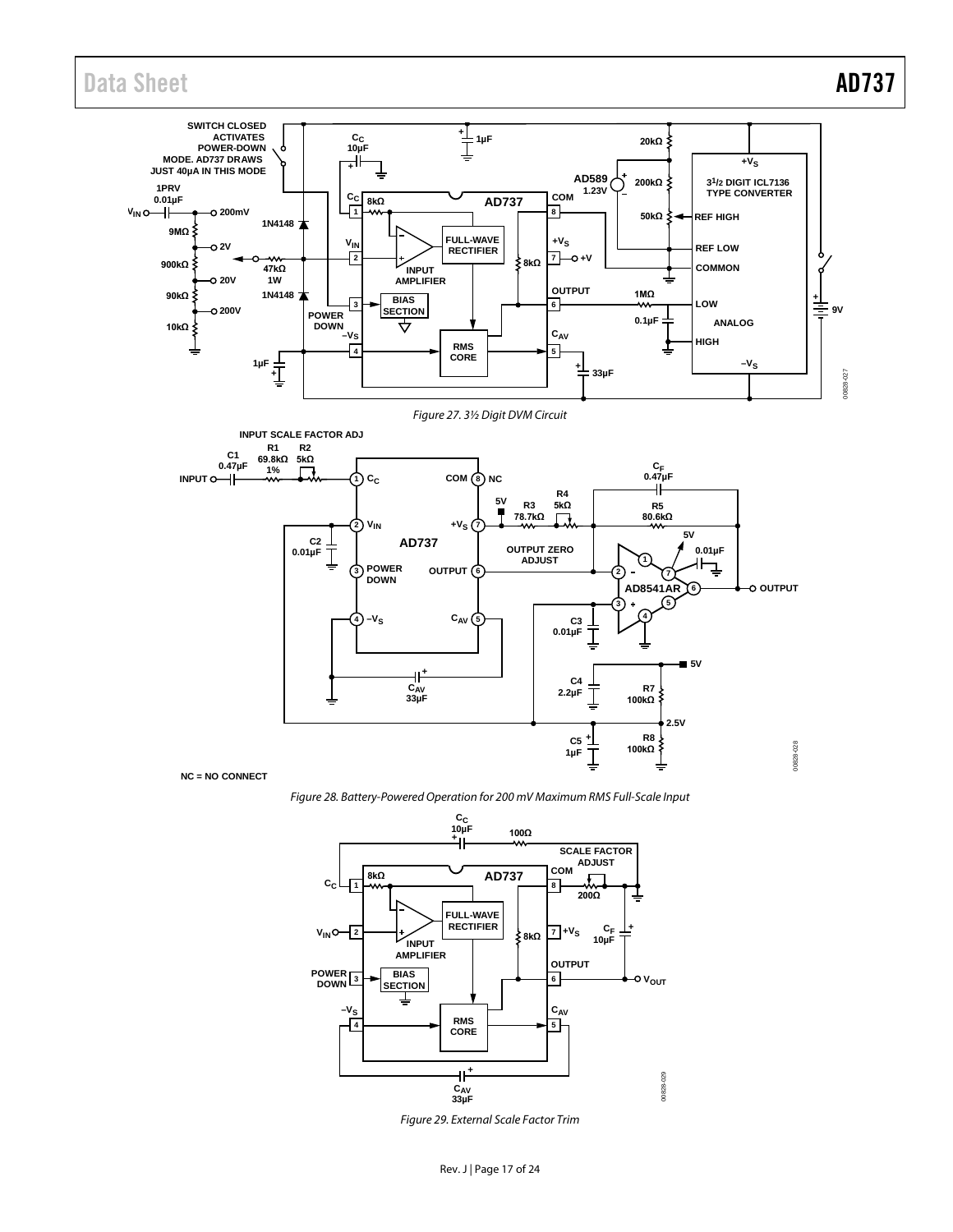Data Sheet **AD737** 

<span id="page-16-1"></span>

<span id="page-16-2"></span>*Figure 28. Battery-Powered Operation for 200 mV Maximum RMS Full-Scale Input*



<span id="page-16-0"></span>*Figure 29. External Scale Factor Trim*

Rev. J | Page 17 of 24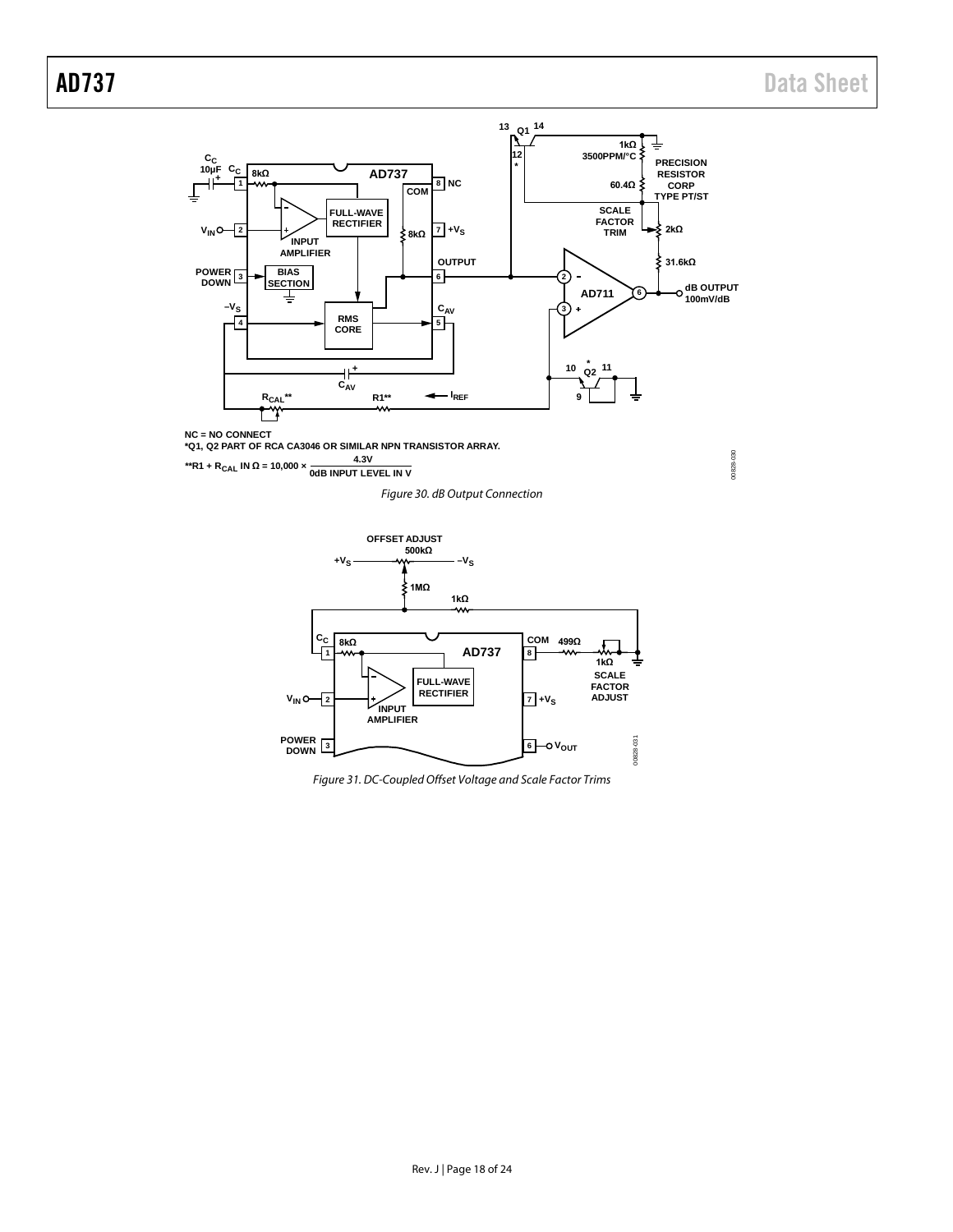00828-030

00828-030



**NC = NO CONNECT \*Q1, Q2 PART OF RCA CA3046 OR SIMILAR NPN TRANSISTOR ARRAY.**

**\*\*R1 + RCAL IN <sup>Ω</sup> = 10,000 × 4.3V 0dB INPUT LEVEL IN V**

*Figure 30. dB Output Connection*



*Figure 31. DC-Coupled Offset Voltage and Scale Factor Trims*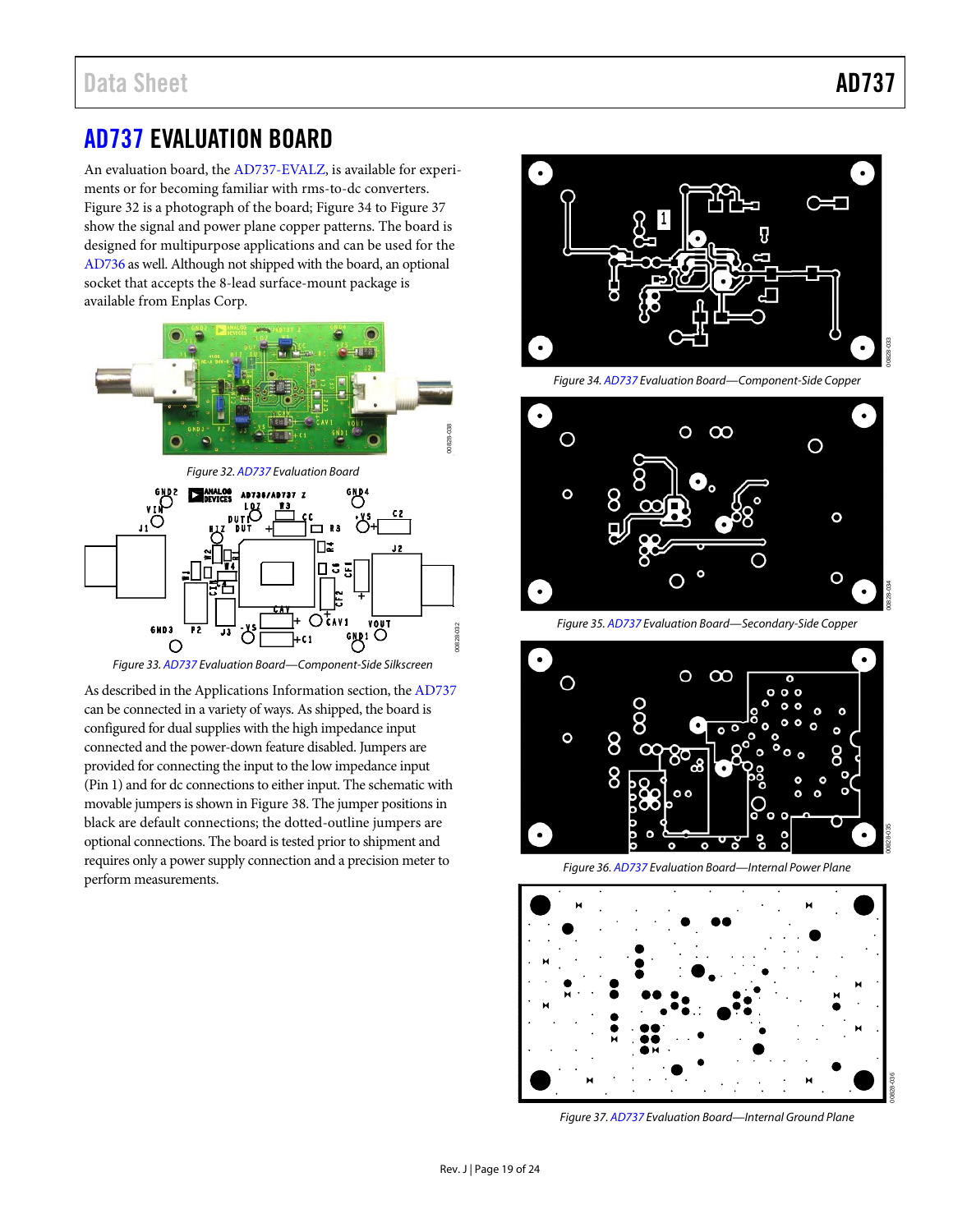# <span id="page-18-0"></span>[AD737](http://www.analog.com/AD737?doc=AD737.pdf) EVALUATION BOARD

An evaluation board, th[e AD737-EVALZ,](http://www.analog.com/AD737) is available for experiments or for becoming familiar with rms-to-dc converters. [Figure 32](#page-18-1) is a photograph of the board; [Figure 34](#page-18-2) to [Figure 37](#page-18-3) show the signal and power plane copper patterns. The board is designed for multipurpose applications and can be used for the [AD736](http://www.analog.com/ad736?doc=ad737.pdf) as well. Although not shipped with the board, an optional socket that accepts the 8-lead surface-mount package is available from Enplas Corp.

<span id="page-18-1"></span>

*Figure 33. [AD737](http://www.analog.com/AD737?doc=AD737.pdf) Evaluation Board—Component-Side Silkscreen*

As described in th[e Applications Information](#page-14-0) section, th[e AD737](http://www.analog.com/AD737?doc=AD737.pdf) can be connected in a variety of ways. As shipped, the board is configured for dual supplies with the high impedance input connected and the power-down feature disabled. Jumpers are provided for connecting the input to the low impedance input (Pin 1) and for dc connections to either input. The schematic with movable jumpers is shown in [Figure 38.](#page-19-0) The jumper positions in black are default connections; the dotted-outline jumpers are optional connections. The board is tested prior to shipment and requires only a power supply connection and a precision meter to perform measurements.



*Figure 34. [AD737](http://www.analog.com/AD737?doc=AD737.pdf) Evaluation Board—Component-Side Copper*

<span id="page-18-2"></span>

*Figure 35. [AD737](http://www.analog.com/AD737?doc=AD737.pdf) Evaluation Board—Secondary-Side Copper*



*Figure 36. [AD737](http://www.analog.com/AD737?doc=AD737.pdf) Evaluation Board—Internal Power Plane*



<span id="page-18-3"></span>*Figure 37. [AD737](http://www.analog.com/AD737?doc=AD737.pdf) Evaluation Board—Internal Ground Plane*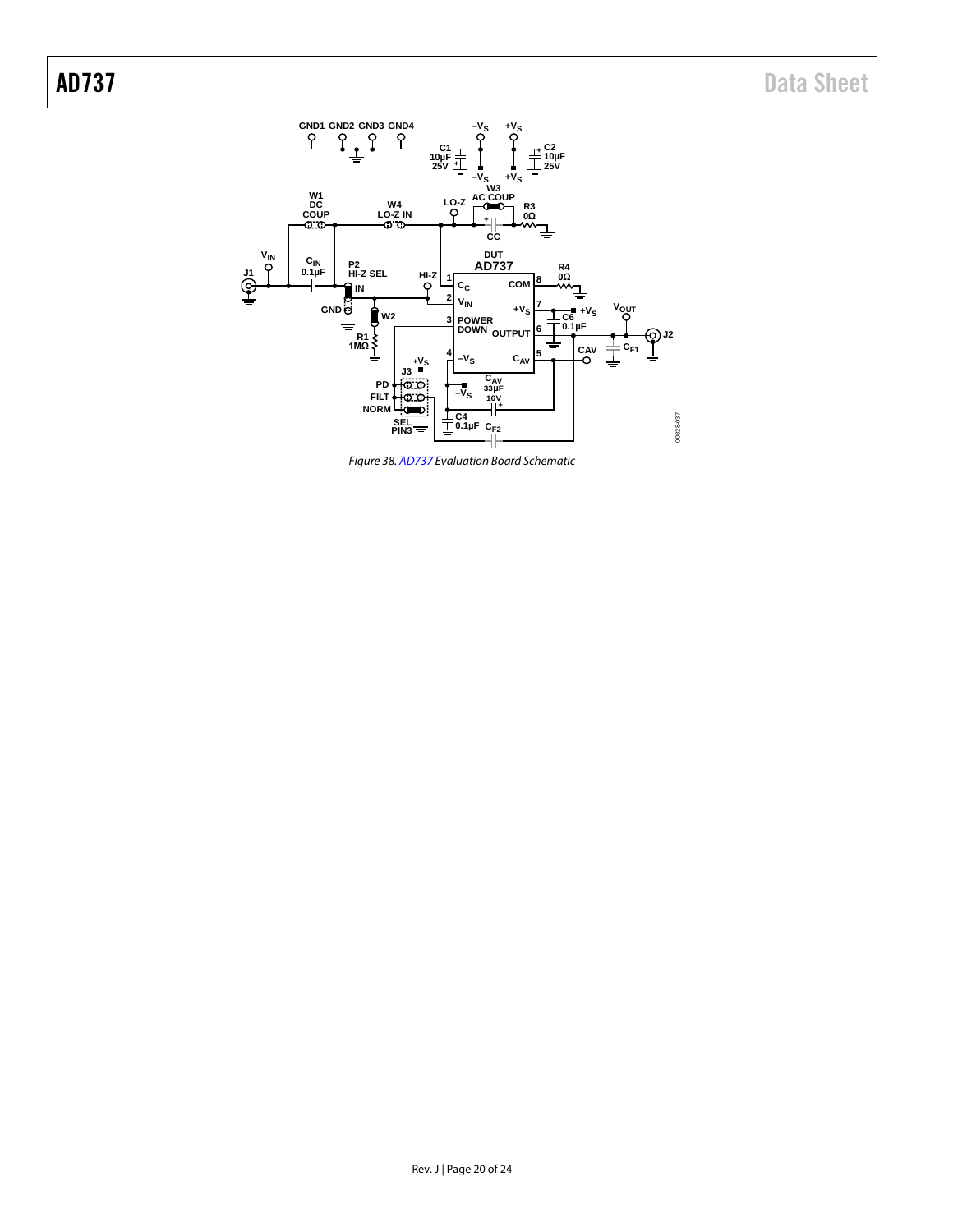

<span id="page-19-0"></span>*Figure 38. [AD737](http://www.analog.com/AD737?doc=AD737.pdf) Evaluation Board Schematic*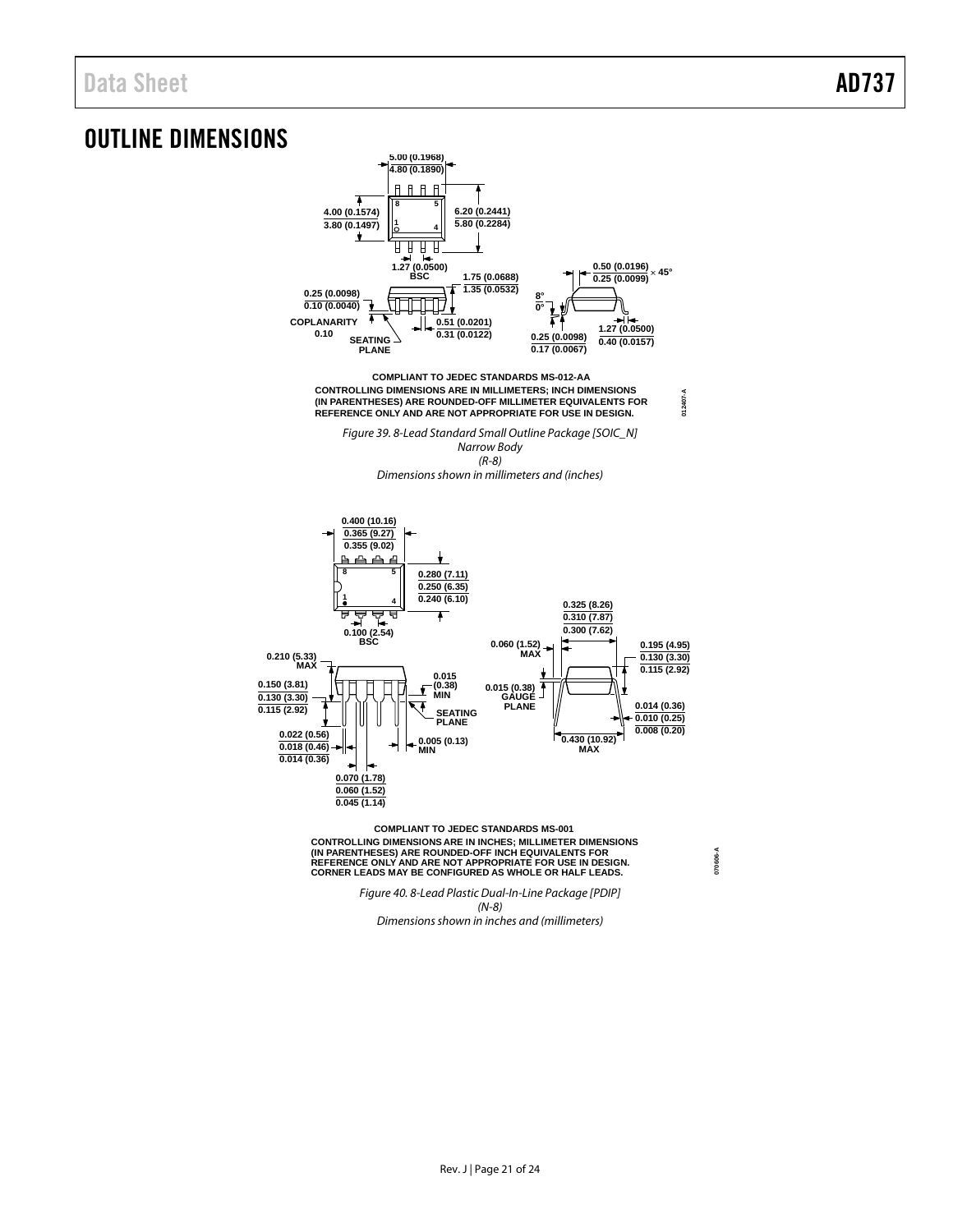# <span id="page-20-0"></span>OUTLINE DIMENSIONS



*Figure 40. 8-Lead Plastic Dual-In-Line Package [PDIP] (N-8) Dimensions shown in inches and (millimeters)*

**070606-A**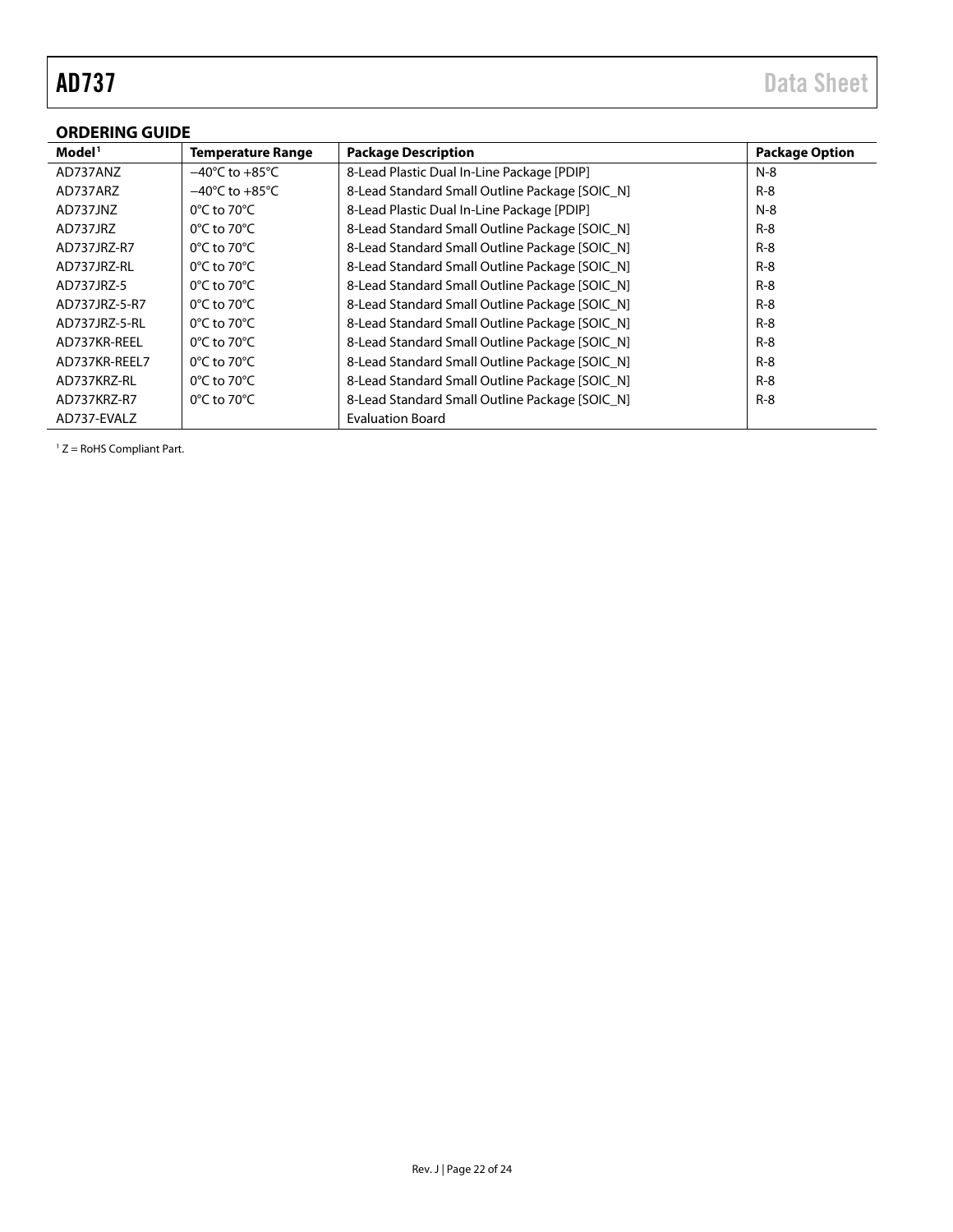# <span id="page-21-0"></span>**ORDERING GUIDE**

| ondening goide     |                                    |                                                |                       |  |  |  |  |
|--------------------|------------------------------------|------------------------------------------------|-----------------------|--|--|--|--|
| Model <sup>1</sup> | <b>Temperature Range</b>           | <b>Package Description</b>                     | <b>Package Option</b> |  |  |  |  |
| AD737ANZ           | $-40^{\circ}$ C to $+85^{\circ}$ C | 8-Lead Plastic Dual In-Line Package [PDIP]     | $N-8$                 |  |  |  |  |
| AD737ARZ           | $-40^{\circ}$ C to $+85^{\circ}$ C | 8-Lead Standard Small Outline Package [SOIC N] | $R-8$                 |  |  |  |  |
| AD737JNZ           | $0^{\circ}$ C to 70 $^{\circ}$ C   | 8-Lead Plastic Dual In-Line Package [PDIP]     | $N-8$                 |  |  |  |  |
| AD737JRZ           | $0^{\circ}$ C to 70 $^{\circ}$ C   | 8-Lead Standard Small Outline Package [SOIC N] | $R-8$                 |  |  |  |  |
| AD737JRZ-R7        | $0^{\circ}$ C to 70 $^{\circ}$ C   | 8-Lead Standard Small Outline Package [SOIC N] | $R-8$                 |  |  |  |  |
| AD737JRZ-RL        | $0^{\circ}$ C to 70 $^{\circ}$ C   | 8-Lead Standard Small Outline Package [SOIC N] | $R-8$                 |  |  |  |  |
| AD737JRZ-5         | $0^{\circ}$ C to 70 $^{\circ}$ C   | 8-Lead Standard Small Outline Package [SOIC_N] | $R-8$                 |  |  |  |  |
| AD737JRZ-5-R7      | $0^{\circ}$ C to 70 $^{\circ}$ C   | 8-Lead Standard Small Outline Package [SOIC N] | $R-8$                 |  |  |  |  |
| AD737JRZ-5-RL      | $0^{\circ}$ C to 70 $^{\circ}$ C   | 8-Lead Standard Small Outline Package [SOIC_N] | $R-8$                 |  |  |  |  |
| AD737KR-REEL       | $0^{\circ}$ C to 70 $^{\circ}$ C   | 8-Lead Standard Small Outline Package [SOIC N] | $R-8$                 |  |  |  |  |
| AD737KR-REEL7      | $0^{\circ}$ C to 70 $^{\circ}$ C   | 8-Lead Standard Small Outline Package [SOIC N] | $R-8$                 |  |  |  |  |
| AD737KRZ-RL        | $0^{\circ}$ C to 70 $^{\circ}$ C   | 8-Lead Standard Small Outline Package [SOIC_N] | $R-8$                 |  |  |  |  |
| AD737KRZ-R7        | $0^{\circ}$ C to 70 $^{\circ}$ C   | 8-Lead Standard Small Outline Package [SOIC N] | $R-8$                 |  |  |  |  |
| AD737-EVALZ        |                                    | <b>Evaluation Board</b>                        |                       |  |  |  |  |

 $1 Z =$  RoHS Compliant Part.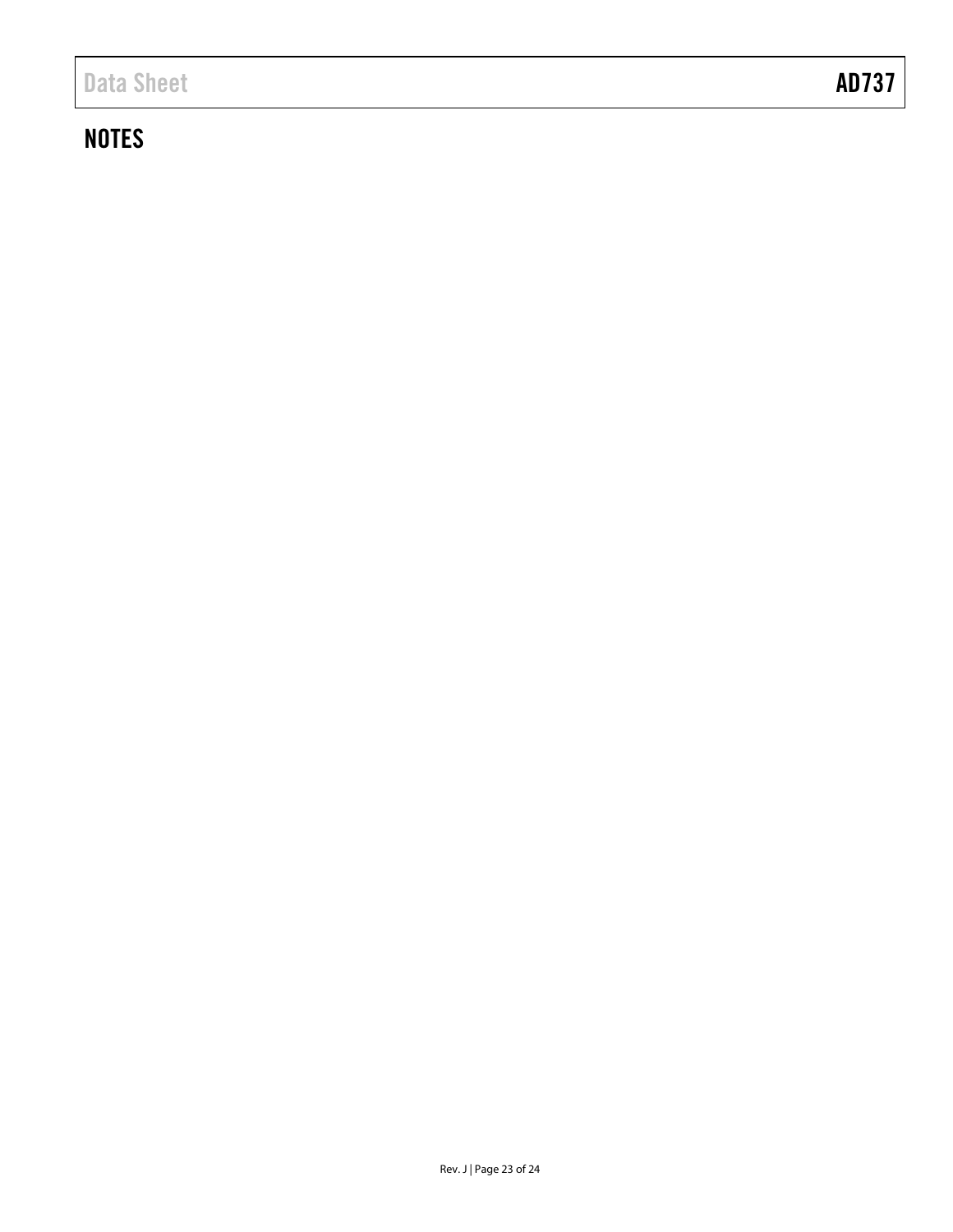# **NOTES**